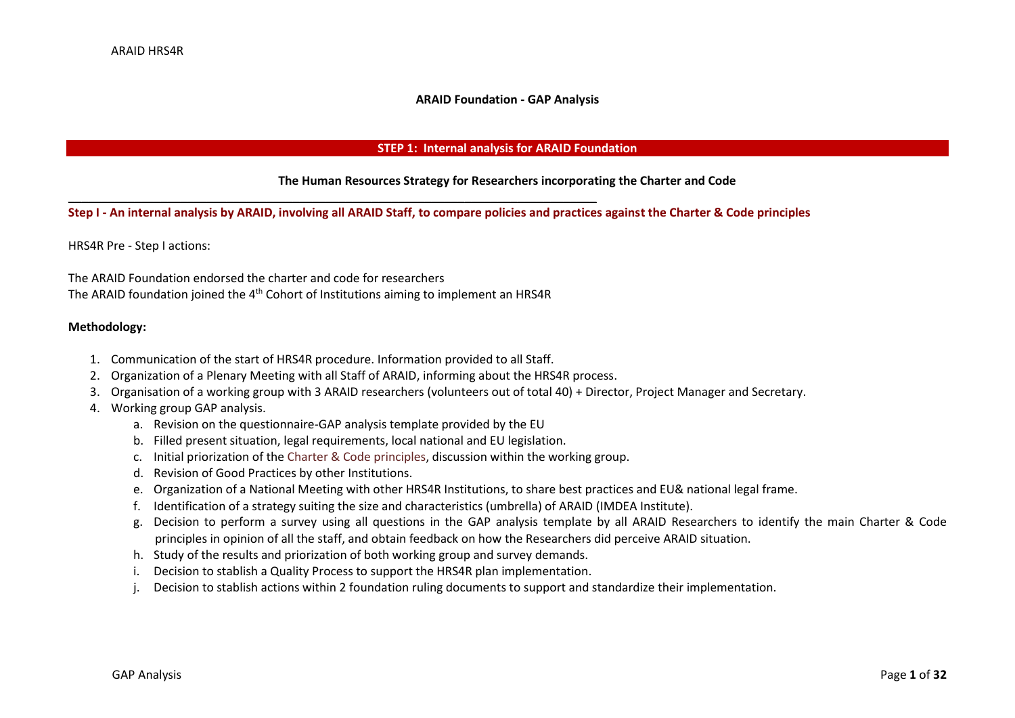#### **ARAID Foundation - GAP Analysis**

#### **STEP 1: Internal analysis for ARAID Foundation**

#### **The Human Resources Strategy for Researchers incorporating the Charter and Code**

### **Step I - An internal analysis by ARAID, involving all ARAID Staff, to compare policies and practices against the Charter & Code principles**

HRS4R Pre - Step I actions:

The ARAID Foundation endorsed the charter and code for researchers The ARAID foundation joined the 4<sup>th</sup> Cohort of Institutions aiming to implement an HRS4R

\_\_\_\_\_\_\_\_\_\_\_\_\_\_\_\_\_\_\_\_\_\_\_\_\_\_\_\_\_\_\_\_\_\_\_\_\_\_\_\_\_\_\_\_\_\_\_\_\_\_\_\_\_\_\_\_\_\_\_\_\_\_\_\_\_\_\_\_\_\_\_\_\_\_\_\_\_\_\_\_

### **Methodology:**

- 1. Communication of the start of HRS4R procedure. Information provided to all Staff.
- 2. Organization of a Plenary Meeting with all Staff of ARAID, informing about the HRS4R process.
- 3. Organisation of a working group with 3 ARAID researchers (volunteers out of total 40) + Director, Project Manager and Secretary.
- 4. Working group GAP analysis.
	- a. Revision on the questionnaire-GAP analysis template provided by the EU
	- b. Filled present situation, legal requirements, local national and EU legislation.
	- c. Initial priorization of the Charter & Code principles, discussion within the working group.
	- d. Revision of Good Practices by other Institutions.
	- e. Organization of a National Meeting with other HRS4R Institutions, to share best practices and EU& national legal frame.
	- f. Identification of a strategy suiting the size and characteristics (umbrella) of ARAID (IMDEA Institute).
	- g. Decision to perform a survey using all questions in the GAP analysis template by all ARAID Researchers to identify the main Charter & Code principles in opinion of all the staff, and obtain feedback on how the Researchers did perceive ARAID situation.
	- h. Study of the results and priorization of both working group and survey demands.
	- i. Decision to stablish a Quality Process to support the HRS4R plan implementation.
	- j. Decision to stablish actions within 2 foundation ruling documents to support and standardize their implementation.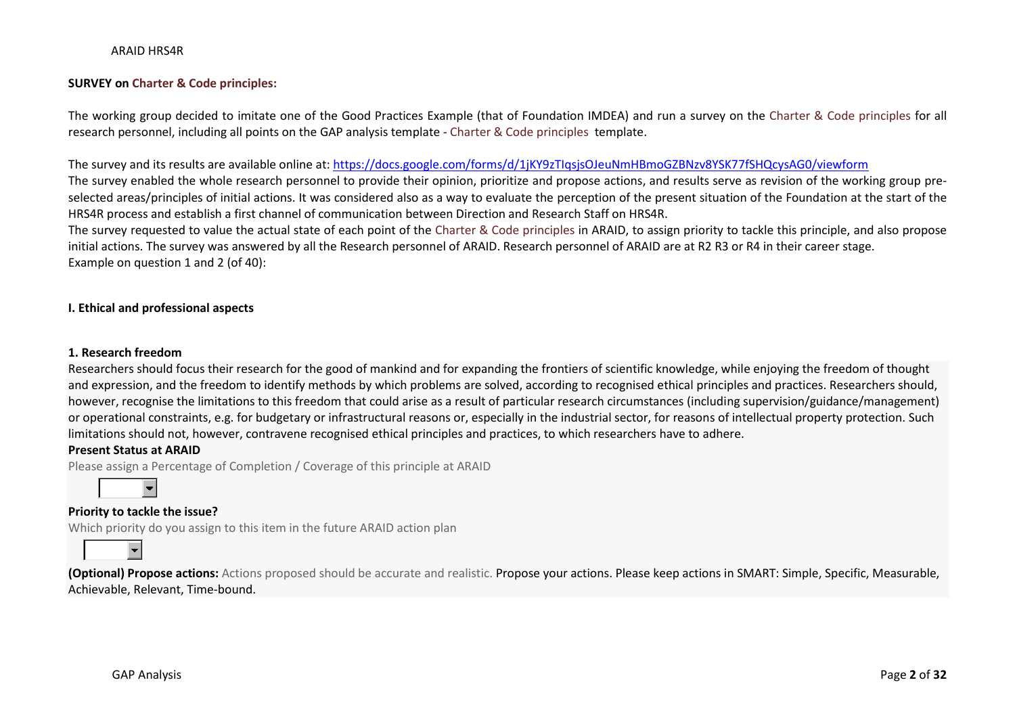### **SURVEY on Charter & Code principles:**

The working group decided to imitate one of the Good Practices Example (that of Foundation IMDEA) and run a survey on the Charter & Code principles for all research personnel, including all points on the GAP analysis template - Charter & Code principles template.

#### The survey and its results are available online at: <https://docs.google.com/forms/d/1jKY9zTIqsjsOJeuNmHBmoGZBNzv8YSK77fSHQcysAG0/viewform>

The survey enabled the whole research personnel to provide their opinion, prioritize and propose actions, and results serve as revision of the working group preselected areas/principles of initial actions. It was considered also as a way to evaluate the perception of the present situation of the Foundation at the start of the HRS4R process and establish a first channel of communication between Direction and Research Staff on HRS4R.

The survey requested to value the actual state of each point of the Charter & Code principles in ARAID, to assign priority to tackle this principle, and also propose initial actions. The survey was answered by all the Research personnel of ARAID. Research personnel of ARAID are at R2 R3 or R4 in their career stage. Example on question 1 and 2 (of 40):

#### **I. Ethical and professional aspects**

#### **1. Research freedom**

Researchers should focus their research for the good of mankind and for expanding the frontiers of scientific knowledge, while enjoying the freedom of thought and expression, and the freedom to identify methods by which problems are solved, according to recognised ethical principles and practices. Researchers should, however, recognise the limitations to this freedom that could arise as a result of particular research circumstances (including supervision/guidance/management) or operational constraints, e.g. for budgetary or infrastructural reasons or, especially in the industrial sector, for reasons of intellectual property protection. Such limitations should not, however, contravene recognised ethical principles and practices, to which researchers have to adhere.

#### **Present Status at ARAID**

Please assign a Percentage of Completion / Coverage of this principle at ARAID



### **Priority to tackle the issue?**

Which priority do you assign to this item in the future ARAID action plan



**(Optional) Propose actions:** Actions proposed should be accurate and realistic. Propose your actions. Please keep actions in SMART: Simple, Specific, Measurable, Achievable, Relevant, Time-bound.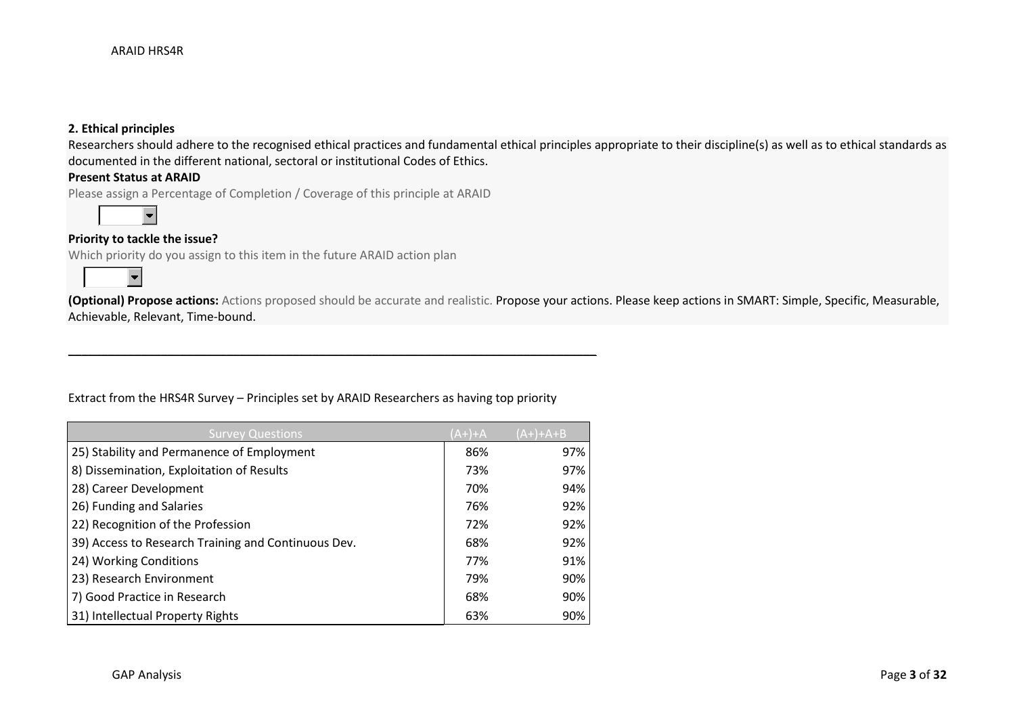## **2. Ethical principles**

Researchers should adhere to the recognised ethical practices and fundamental ethical principles appropriate to their discipline(s) as well as to ethical standards as documented in the different national, sectoral or institutional Codes of Ethics.

### **Present Status at ARAID**

Please assign a Percentage of Completion / Coverage of this principle at ARAID



## **Priority to tackle the issue?**

Which priority do you assign to this item in the future ARAID action plan



**(Optional) Propose actions:** Actions proposed should be accurate and realistic. Propose your actions. Please keep actions in SMART: Simple, Specific, Measurable, Achievable, Relevant, Time-bound.

### Extract from the HRS4R Survey – Principles set by ARAID Researchers as having top priority

\_\_\_\_\_\_\_\_\_\_\_\_\_\_\_\_\_\_\_\_\_\_\_\_\_\_\_\_\_\_\_\_\_\_\_\_\_\_\_\_\_\_\_\_\_\_\_\_\_\_\_\_\_\_\_\_\_\_\_\_\_\_\_\_\_\_\_\_\_\_\_\_\_\_\_\_\_\_\_\_

| <b>Survey Questions</b>                             | (A+)+A | $(A+) + A + B$ |
|-----------------------------------------------------|--------|----------------|
| 25) Stability and Permanence of Employment          | 86%    | 97%            |
| 8) Dissemination, Exploitation of Results           | 73%    | 97%            |
| 28) Career Development                              | 70%    | 94%            |
| 26) Funding and Salaries                            | 76%    | 92%            |
| 22) Recognition of the Profession                   | 72%    | 92%            |
| 39) Access to Research Training and Continuous Dev. | 68%    | 92%            |
| 24) Working Conditions                              | 77%    | 91%            |
| 23) Research Environment                            | 79%    | 90%            |
| 7) Good Practice in Research                        | 68%    | 90%            |
| 31) Intellectual Property Rights                    | 63%    | 90%            |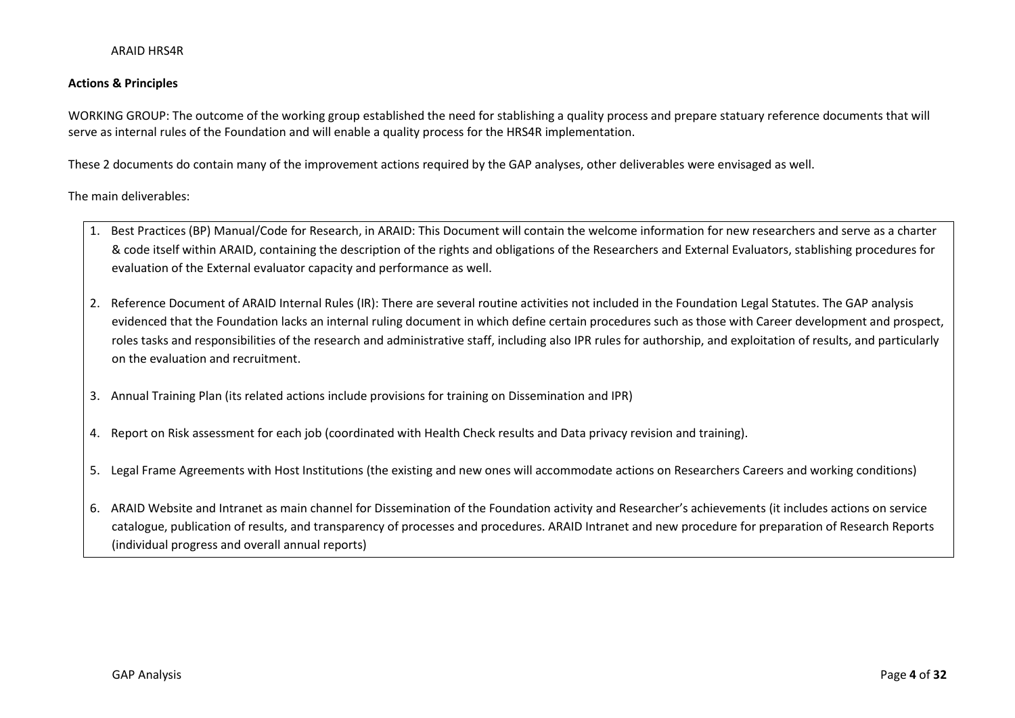### **Actions & Principles**

WORKING GROUP: The outcome of the working group established the need for stablishing a quality process and prepare statuary reference documents that will serve as internal rules of the Foundation and will enable a quality process for the HRS4R implementation.

These 2 documents do contain many of the improvement actions required by the GAP analyses, other deliverables were envisaged as well.

The main deliverables:

- 1. Best Practices (BP) Manual/Code for Research, in ARAID: This Document will contain the welcome information for new researchers and serve as a charter & code itself within ARAID, containing the description of the rights and obligations of the Researchers and External Evaluators, stablishing procedures for evaluation of the External evaluator capacity and performance as well.
- 2. Reference Document of ARAID Internal Rules (IR): There are several routine activities not included in the Foundation Legal Statutes. The GAP analysis evidenced that the Foundation lacks an internal ruling document in which define certain procedures such as those with Career development and prospect, roles tasks and responsibilities of the research and administrative staff, including also IPR rules for authorship, and exploitation of results, and particularly on the evaluation and recruitment.
- 3. Annual Training Plan (its related actions include provisions for training on Dissemination and IPR)
- 4. Report on Risk assessment for each job (coordinated with Health Check results and Data privacy revision and training).
- 5. Legal Frame Agreements with Host Institutions (the existing and new ones will accommodate actions on Researchers Careers and working conditions)
- 6. ARAID Website and Intranet as main channel for Dissemination of the Foundation activity and Researcher's achievements (it includes actions on service catalogue, publication of results, and transparency of processes and procedures. ARAID Intranet and new procedure for preparation of Research Reports (individual progress and overall annual reports)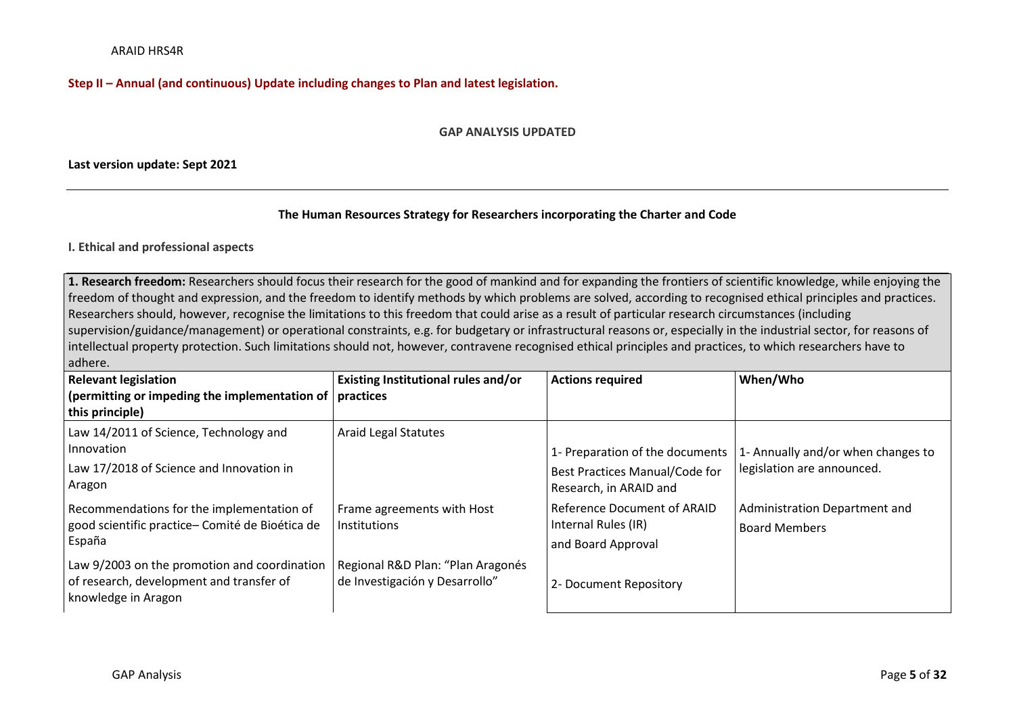## **Step II – Annual (and continuous) Update including changes to Plan and latest legislation.**

#### **GAP ANALYSIS UPDATED**

### **Last version update: Sept 2021**

### **The Human Resources Strategy for Researchers incorporating the Charter and Code**

### **I. Ethical and professional aspects**

**1. Research freedom:** Researchers should focus their research for the good of mankind and for expanding the frontiers of scientific knowledge, while enjoying the freedom of thought and expression, and the freedom to identify methods by which problems are solved, according to recognised ethical principles and practices. Researchers should, however, recognise the limitations to this freedom that could arise as a result of particular research circumstances (including supervision/guidance/management) or operational constraints, e.g. for budgetary or infrastructural reasons or, especially in the industrial sector, for reasons of intellectual property protection. Such limitations should not, however, contravene recognised ethical principles and practices, to which researchers have to adhere.

| <b>Relevant legislation</b><br>(permitting or impeding the implementation of   practices<br>this principle)     | Existing Institutional rules and/or                                 | <b>Actions required</b>                                                  | When/Who                                              |
|-----------------------------------------------------------------------------------------------------------------|---------------------------------------------------------------------|--------------------------------------------------------------------------|-------------------------------------------------------|
| Law 14/2011 of Science, Technology and<br>Innovation                                                            | <b>Araid Legal Statutes</b>                                         | 1- Preparation of the documents                                          | 1- Annually and/or when changes to                    |
| Law 17/2018 of Science and Innovation in<br>Aragon                                                              |                                                                     | Best Practices Manual/Code for<br>Research, in ARAID and                 | legislation are announced.                            |
| Recommendations for the implementation of<br>good scientific practice- Comité de Bioética de<br>España          | Frame agreements with Host<br>Institutions                          | Reference Document of ARAID<br>Internal Rules (IR)<br>and Board Approval | Administration Department and<br><b>Board Members</b> |
| Law 9/2003 on the promotion and coordination<br>of research, development and transfer of<br>knowledge in Aragon | Regional R&D Plan: "Plan Aragonés<br>de Investigación y Desarrollo" | 2- Document Repository                                                   |                                                       |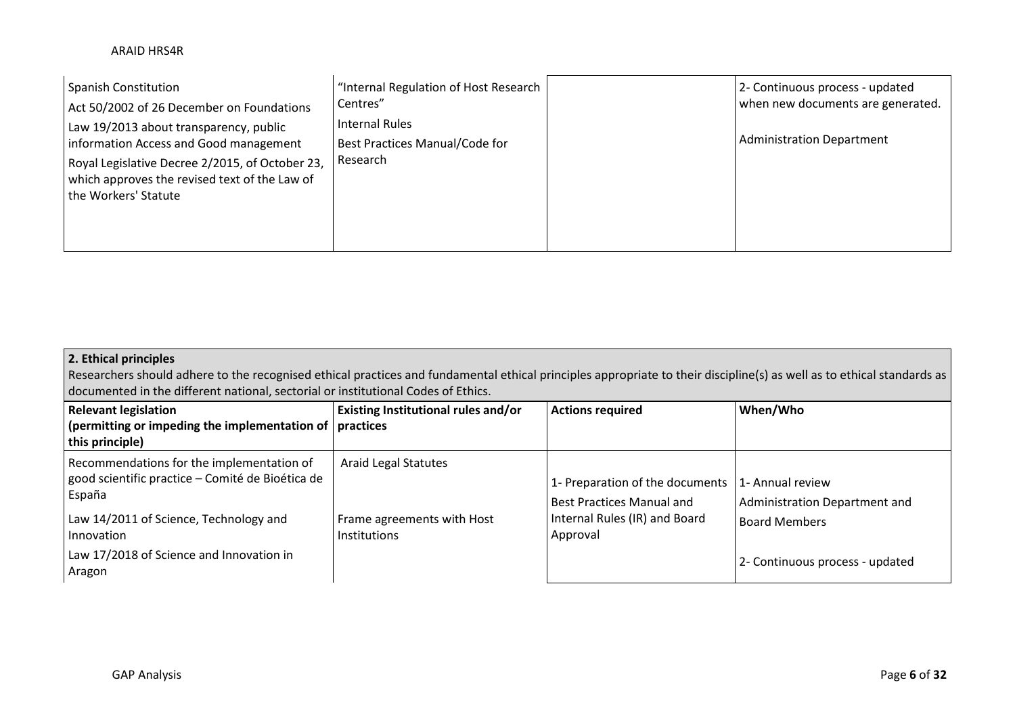| <b>Spanish Constitution</b>                                                                                                                                                                                  | "Internal Regulation of Host Research                        | 2- Continuous process - updated   |
|--------------------------------------------------------------------------------------------------------------------------------------------------------------------------------------------------------------|--------------------------------------------------------------|-----------------------------------|
| Act 50/2002 of 26 December on Foundations                                                                                                                                                                    | Centres"                                                     | when new documents are generated. |
| Law 19/2013 about transparency, public<br>information Access and Good management<br>Royal Legislative Decree 2/2015, of October 23,<br>which approves the revised text of the Law of<br>the Workers' Statute | Internal Rules<br>Best Practices Manual/Code for<br>Research | Administration Department         |

## **2. Ethical principles**

Researchers should adhere to the recognised ethical practices and fundamental ethical principles appropriate to their discipline(s) as well as to ethical standards as documented in the different national, sectorial or institutional Codes of Ethics.

| <b>Relevant legislation</b><br>(permitting or impeding the implementation of $\vert$ practices<br>this principle)                                                                                                     | Existing Institutional rules and/or                                       | <b>Actions required</b>                                                                                          | When/Who                                                                                                     |
|-----------------------------------------------------------------------------------------------------------------------------------------------------------------------------------------------------------------------|---------------------------------------------------------------------------|------------------------------------------------------------------------------------------------------------------|--------------------------------------------------------------------------------------------------------------|
| Recommendations for the implementation of<br>good scientific practice – Comité de Bioética de<br>España<br>Law 14/2011 of Science, Technology and<br>Innovation<br>Law 17/2018 of Science and Innovation in<br>Aragon | <b>Araid Legal Statutes</b><br>Frame agreements with Host<br>Institutions | 1- Preparation of the documents<br><b>Best Practices Manual and</b><br>Internal Rules (IR) and Board<br>Approval | 1- Annual review<br>Administration Department and<br><b>Board Members</b><br>2- Continuous process - updated |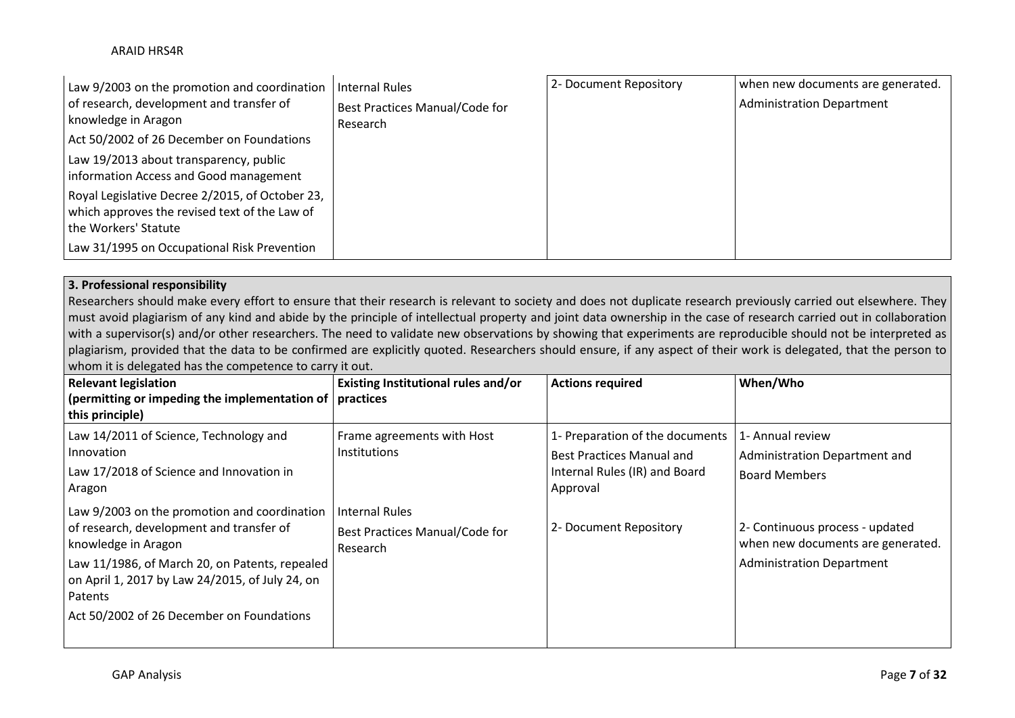| Law 9/2003 on the promotion and coordination    | Internal Rules                 | 2- Document Repository | when new documents are generated. |
|-------------------------------------------------|--------------------------------|------------------------|-----------------------------------|
| of research, development and transfer of        | Best Practices Manual/Code for |                        | <b>Administration Department</b>  |
| knowledge in Aragon                             | Research                       |                        |                                   |
| Act 50/2002 of 26 December on Foundations       |                                |                        |                                   |
| Law 19/2013 about transparency, public          |                                |                        |                                   |
| information Access and Good management          |                                |                        |                                   |
| Royal Legislative Decree 2/2015, of October 23, |                                |                        |                                   |
| which approves the revised text of the Law of   |                                |                        |                                   |
| the Workers' Statute                            |                                |                        |                                   |
| Law 31/1995 on Occupational Risk Prevention     |                                |                        |                                   |

# **3. Professional responsibility**

Researchers should make every effort to ensure that their research is relevant to society and does not duplicate research previously carried out elsewhere. They must avoid plagiarism of any kind and abide by the principle of intellectual property and joint data ownership in the case of research carried out in collaboration with a supervisor(s) and/or other researchers. The need to validate new observations by showing that experiments are reproducible should not be interpreted as plagiarism, provided that the data to be confirmed are explicitly quoted. Researchers should ensure, if any aspect of their work is delegated, that the person to whom it is delegated has the competence to carry it out.

| <b>Relevant legislation</b><br>(permitting or impeding the implementation of $ $ practices<br>this principle)                                                                                                                                                                | Existing Institutional rules and/or                          | <b>Actions required</b>                                                                                          | When/Who                                                                                                 |
|------------------------------------------------------------------------------------------------------------------------------------------------------------------------------------------------------------------------------------------------------------------------------|--------------------------------------------------------------|------------------------------------------------------------------------------------------------------------------|----------------------------------------------------------------------------------------------------------|
| Law 14/2011 of Science, Technology and<br>Innovation<br>Law 17/2018 of Science and Innovation in<br>Aragon                                                                                                                                                                   | Frame agreements with Host<br><b>Institutions</b>            | 1- Preparation of the documents<br><b>Best Practices Manual and</b><br>Internal Rules (IR) and Board<br>Approval | 1- Annual review<br>Administration Department and<br><b>Board Members</b>                                |
| Law 9/2003 on the promotion and coordination<br>of research, development and transfer of<br>knowledge in Aragon<br>Law 11/1986, of March 20, on Patents, repealed<br>on April 1, 2017 by Law 24/2015, of July 24, on<br>Patents<br>Act 50/2002 of 26 December on Foundations | Internal Rules<br>Best Practices Manual/Code for<br>Research | 2- Document Repository                                                                                           | 2- Continuous process - updated<br>when new documents are generated.<br><b>Administration Department</b> |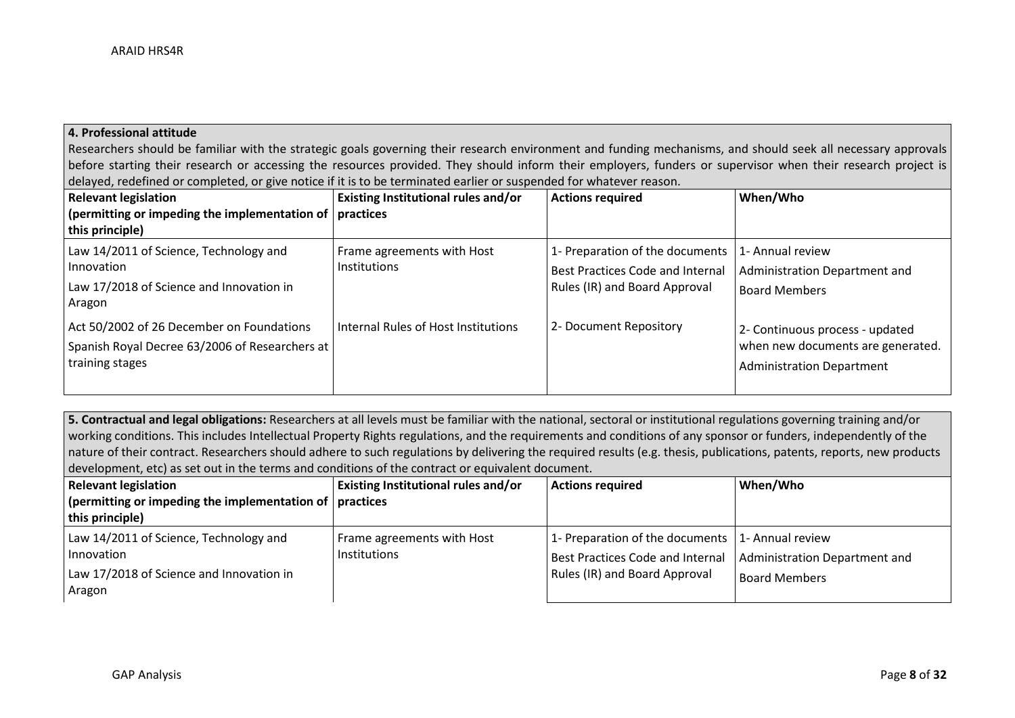### **4. Professional attitude**

Researchers should be familiar with the strategic goals governing their research environment and funding mechanisms, and should seek all necessary approvals before starting their research or accessing the resources provided. They should inform their employers, funders or supervisor when their research project is delayed, redefined or completed, or give notice if it is to be terminated earlier or suspended for whatever reason.

| <b>Relevant legislation</b><br>(permitting or impeding the implementation of $\vert$ practices<br>this principle) | Existing Institutional rules and/or               | <b>Actions required</b>                                                                                     | When/Who                                                                                                 |
|-------------------------------------------------------------------------------------------------------------------|---------------------------------------------------|-------------------------------------------------------------------------------------------------------------|----------------------------------------------------------------------------------------------------------|
| Law 14/2011 of Science, Technology and<br>Innovation<br>Law 17/2018 of Science and Innovation in<br>Aragon        | Frame agreements with Host<br><b>Institutions</b> | 1- Preparation of the documents<br><b>Best Practices Code and Internal</b><br>Rules (IR) and Board Approval | 1- Annual review<br>Administration Department and<br><b>Board Members</b>                                |
| Act 50/2002 of 26 December on Foundations<br>Spanish Royal Decree 63/2006 of Researchers at  <br>training stages  | Internal Rules of Host Institutions               | 2- Document Repository                                                                                      | 2- Continuous process - updated<br>when new documents are generated.<br><b>Administration Department</b> |

**5. Contractual and legal obligations:** Researchers at all levels must be familiar with the national, sectoral or institutional regulations governing training and/or working conditions. This includes Intellectual Property Rights regulations, and the requirements and conditions of any sponsor or funders, independently of the nature of their contract. Researchers should adhere to such regulations by delivering the required results (e.g. thesis, publications, patents, reports, new products development, etc) as set out in the terms and conditions of the contract or equivalent document.

| Relevant legislation                                                                                       | <b>Existing Institutional rules and/or</b> | <b>Actions required</b>                                                                                                         | When/Who                                              |
|------------------------------------------------------------------------------------------------------------|--------------------------------------------|---------------------------------------------------------------------------------------------------------------------------------|-------------------------------------------------------|
| (permitting or impeding the implementation of $\vert$ practices                                            |                                            |                                                                                                                                 |                                                       |
| this principle)                                                                                            |                                            |                                                                                                                                 |                                                       |
| Law 14/2011 of Science, Technology and<br>Innovation<br>Law 17/2018 of Science and Innovation in<br>Aragon | Frame agreements with Host<br>Institutions | 1- Preparation of the documents $ 1-$ Annual review<br>Best Practices Code and Internal<br><b>Rules (IR) and Board Approval</b> | Administration Department and<br><b>Board Members</b> |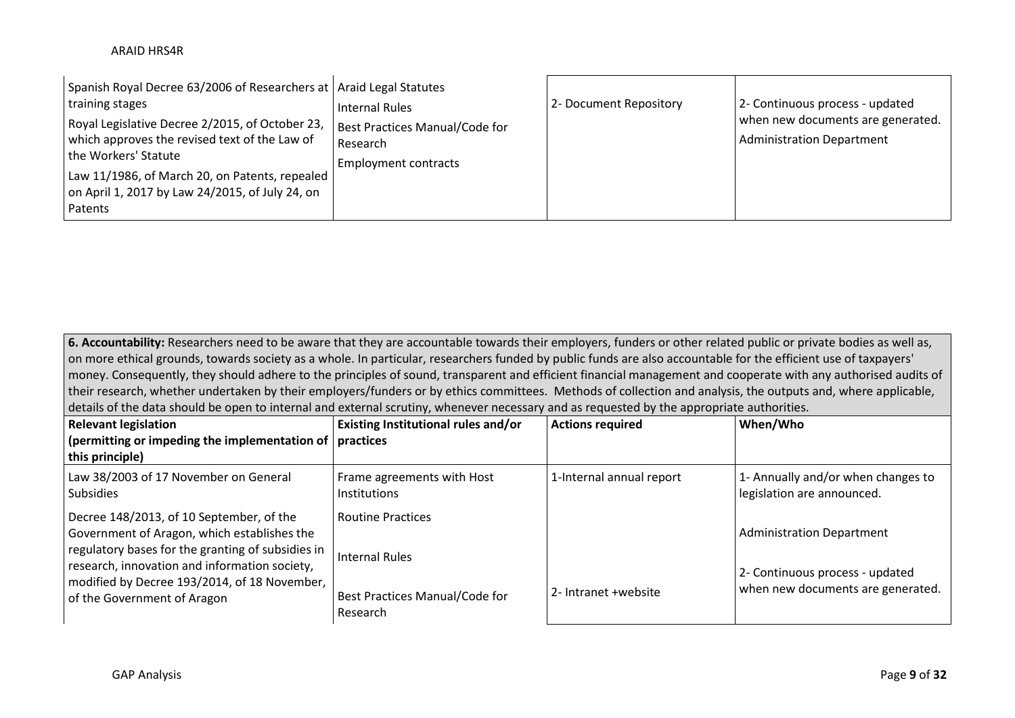**6. Accountability:** Researchers need to be aware that they are accountable towards their employers, funders or other related public or private bodies as well as, on more ethical grounds, towards society as a whole. In particular, researchers funded by public funds are also accountable for the efficient use of taxpayers' money. Consequently, they should adhere to the principles of sound, transparent and efficient financial management and cooperate with any authorised audits of their research, whether undertaken by their employers/funders or by ethics committees. Methods of collection and analysis, the outputs and, where applicable, details of the data should be open to internal and external scrutiny, whenever necessary and as requested by the appropriate authorities.

| <b>Relevant legislation</b>                                                                                                                                                                   | <b>Existing Institutional rules and/or</b>        | <b>Actions required</b>  | When/Who                                                             |
|-----------------------------------------------------------------------------------------------------------------------------------------------------------------------------------------------|---------------------------------------------------|--------------------------|----------------------------------------------------------------------|
| $\vert$ (permitting or impeding the implementation of $\vert$ practices<br>this principle)                                                                                                    |                                                   |                          |                                                                      |
| Law 38/2003 of 17 November on General<br><b>Subsidies</b>                                                                                                                                     | Frame agreements with Host<br><b>Institutions</b> | 1-Internal annual report | 1- Annually and/or when changes to<br>legislation are announced.     |
| Decree 148/2013, of 10 September, of the<br>Government of Aragon, which establishes the<br>regulatory bases for the granting of subsidies in<br>research, innovation and information society, | <b>Routine Practices</b><br><b>Internal Rules</b> |                          | <b>Administration Department</b>                                     |
| modified by Decree 193/2014, of 18 November,<br>of the Government of Aragon                                                                                                                   | Best Practices Manual/Code for<br>Research        | 2- Intranet +website     | 2- Continuous process - updated<br>when new documents are generated. |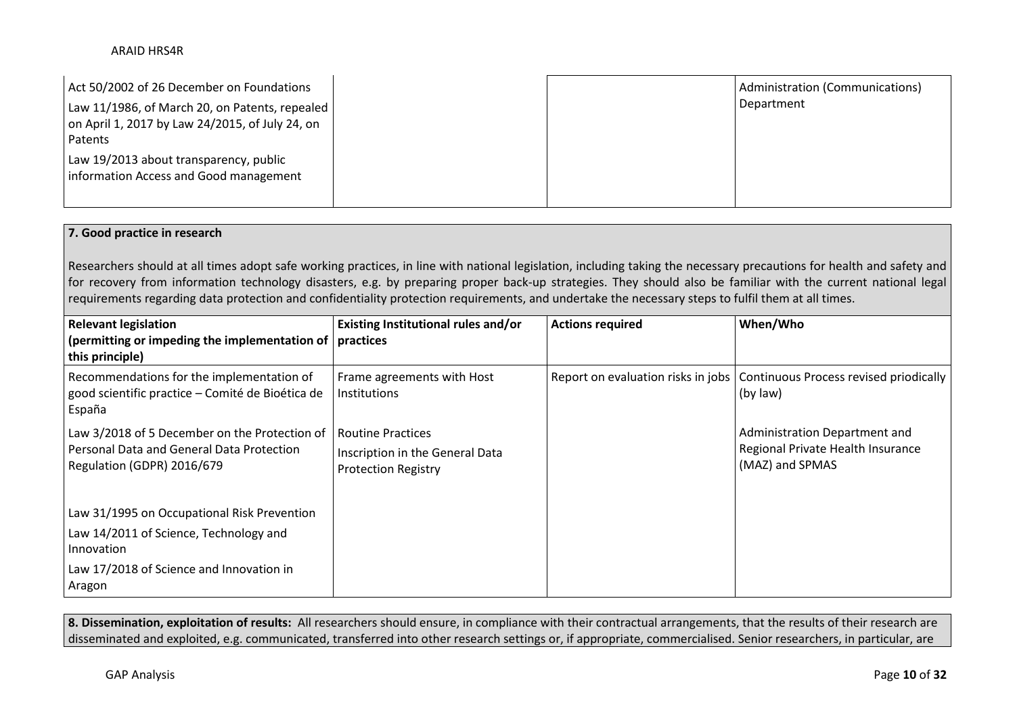| Act 50/2002 of 26 December on Foundations                                                                             |  | Administration (Communications) |
|-----------------------------------------------------------------------------------------------------------------------|--|---------------------------------|
| Law 11/1986, of March 20, on Patents, repealed  <br>on April 1, 2017 by Law 24/2015, of July 24, on<br><b>Patents</b> |  | Department                      |
| Law 19/2013 about transparency, public<br>information Access and Good management                                      |  |                                 |

## **7. Good practice in research**

Researchers should at all times adopt safe working practices, in line with national legislation, including taking the necessary precautions for health and safety and for recovery from information technology disasters, e.g. by preparing proper back-up strategies. They should also be familiar with the current national legal requirements regarding data protection and confidentiality protection requirements, and undertake the necessary steps to fulfil them at all times.

| <b>Relevant legislation</b><br>(permitting or impeding the implementation of $ $ practices<br>this principle)                   | Existing Institutional rules and/or                                                  | <b>Actions required</b> | When/Who                                                                                |
|---------------------------------------------------------------------------------------------------------------------------------|--------------------------------------------------------------------------------------|-------------------------|-----------------------------------------------------------------------------------------|
| Recommendations for the implementation of<br>good scientific practice - Comité de Bioética de<br>España                         | Frame agreements with Host<br><b>Institutions</b>                                    |                         | Report on evaluation risks in jobs   Continuous Process revised priodically<br>(by law) |
| Law 3/2018 of 5 December on the Protection of<br><b>Personal Data and General Data Protection</b><br>Regulation (GDPR) 2016/679 | l Routine Practices<br>Inscription in the General Data<br><b>Protection Registry</b> |                         | Administration Department and<br>Regional Private Health Insurance<br>(MAZ) and SPMAS   |
| Law 31/1995 on Occupational Risk Prevention                                                                                     |                                                                                      |                         |                                                                                         |
| Law 14/2011 of Science, Technology and<br>Innovation                                                                            |                                                                                      |                         |                                                                                         |
| Law 17/2018 of Science and Innovation in<br>Aragon                                                                              |                                                                                      |                         |                                                                                         |

**8. Dissemination, exploitation of results:** All researchers should ensure, in compliance with their contractual arrangements, that the results of their research are disseminated and exploited, e.g. communicated, transferred into other research settings or, if appropriate, commercialised. Senior researchers, in particular, are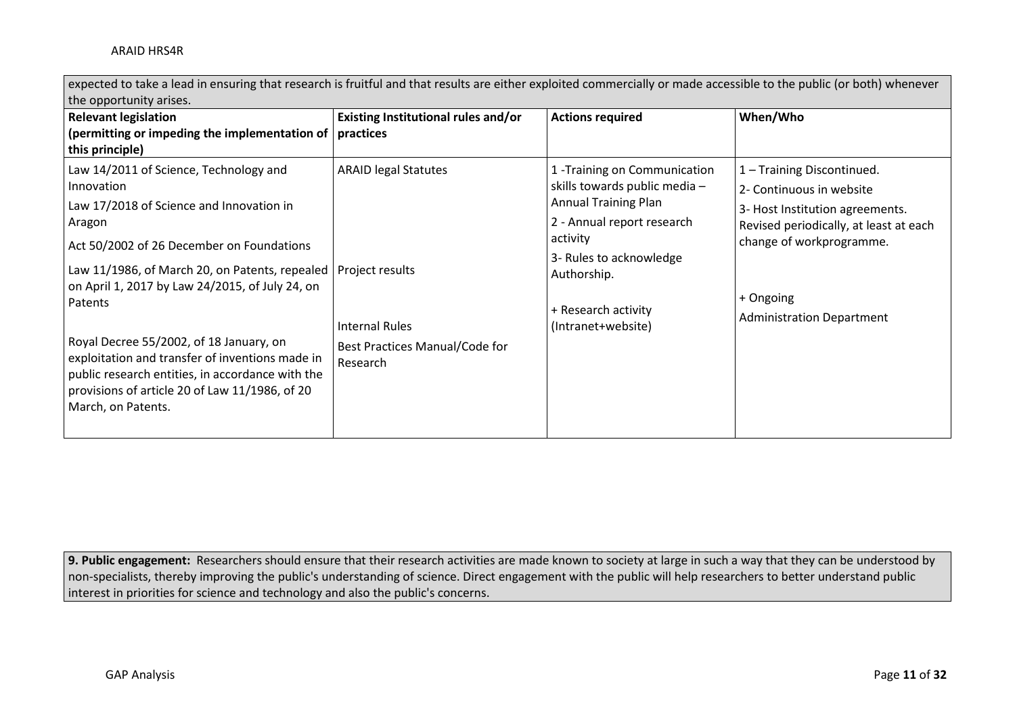expected to take a lead in ensuring that research is fruitful and that results are either exploited commercially or made accessible to the public (or both) whenever the opportunity arises.

| <b>Relevant legislation</b><br>(permitting or impeding the implementation of $ $ practices<br>this principle)                                                                                                                                                                                                                                                                                                                                                                                       | Existing Institutional rules and/or                                                                                   | <b>Actions required</b>                                                                                                                                                                                                        | When/Who                                                                                                                                                                                                         |
|-----------------------------------------------------------------------------------------------------------------------------------------------------------------------------------------------------------------------------------------------------------------------------------------------------------------------------------------------------------------------------------------------------------------------------------------------------------------------------------------------------|-----------------------------------------------------------------------------------------------------------------------|--------------------------------------------------------------------------------------------------------------------------------------------------------------------------------------------------------------------------------|------------------------------------------------------------------------------------------------------------------------------------------------------------------------------------------------------------------|
| Law 14/2011 of Science, Technology and<br>Innovation<br>Law 17/2018 of Science and Innovation in<br>Aragon<br>Act 50/2002 of 26 December on Foundations<br>Law 11/1986, of March 20, on Patents, repealed  <br>on April 1, 2017 by Law 24/2015, of July 24, on<br>Patents<br>Royal Decree 55/2002, of 18 January, on<br>exploitation and transfer of inventions made in<br>public research entities, in accordance with the<br>provisions of article 20 of Law 11/1986, of 20<br>March, on Patents. | <b>ARAID legal Statutes</b><br>Project results<br><b>Internal Rules</b><br>Best Practices Manual/Code for<br>Research | 1 - Training on Communication<br>skills towards public media -<br><b>Annual Training Plan</b><br>2 - Annual report research<br>activity<br>3- Rules to acknowledge<br>Authorship.<br>+ Research activity<br>(Intranet+website) | 1 - Training Discontinued.<br>2- Continuous in website<br>3- Host Institution agreements.<br>Revised periodically, at least at each<br>change of workprogramme.<br>+ Ongoing<br><b>Administration Department</b> |

**9. Public engagement:** Researchers should ensure that their research activities are made known to society at large in such a way that they can be understood by non-specialists, thereby improving the public's understanding of science. Direct engagement with the public will help researchers to better understand public interest in priorities for science and technology and also the public's concerns.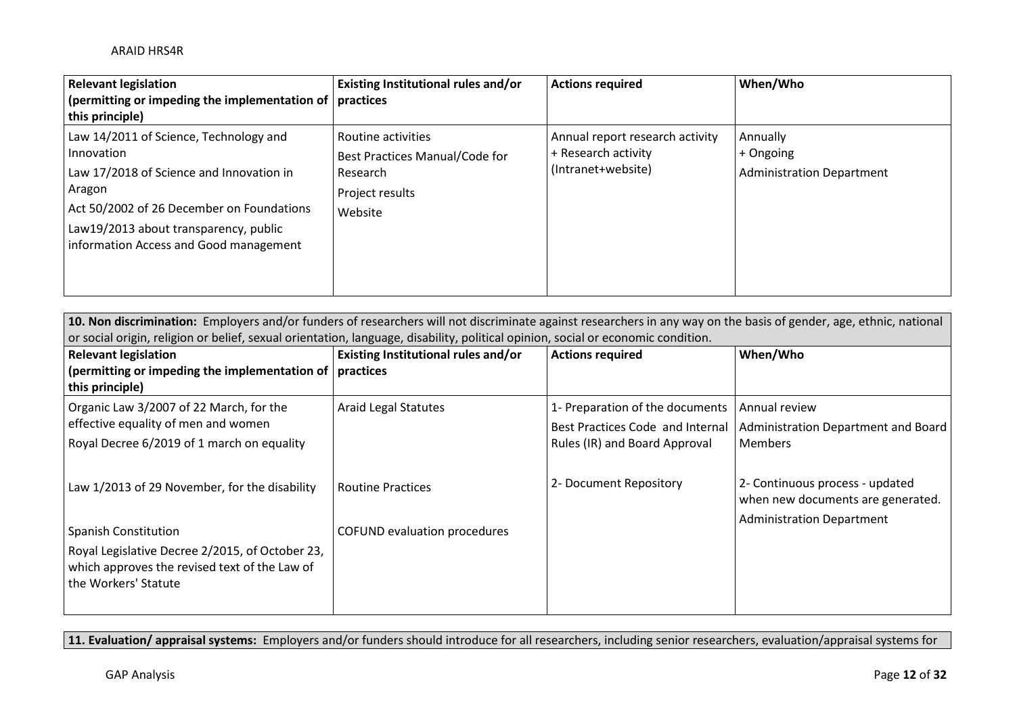| <b>Relevant legislation</b>                                 | Existing Institutional rules and/or | <b>Actions required</b>         | When/Who                         |
|-------------------------------------------------------------|-------------------------------------|---------------------------------|----------------------------------|
| (permitting or impeding the implementation of $ $ practices |                                     |                                 |                                  |
| this principle)                                             |                                     |                                 |                                  |
| Law 14/2011 of Science, Technology and                      | Routine activities                  | Annual report research activity | Annually                         |
| Innovation                                                  | Best Practices Manual/Code for      | + Research activity             | + Ongoing                        |
| Law 17/2018 of Science and Innovation in                    | Research                            | (Intranet+website)              | <b>Administration Department</b> |
| Aragon                                                      | Project results                     |                                 |                                  |
| Act 50/2002 of 26 December on Foundations                   | Website                             |                                 |                                  |
| Law19/2013 about transparency, public                       |                                     |                                 |                                  |
| information Access and Good management                      |                                     |                                 |                                  |
|                                                             |                                     |                                 |                                  |
|                                                             |                                     |                                 |                                  |

| 10. Non discrimination: Employers and/or funders of researchers will not discriminate against researchers in any way on the basis of gender, age, ethnic, national<br>or social origin, religion or belief, sexual orientation, language, disability, political opinion, social or economic condition. |                                            |                                                                   |                                                                      |  |
|--------------------------------------------------------------------------------------------------------------------------------------------------------------------------------------------------------------------------------------------------------------------------------------------------------|--------------------------------------------|-------------------------------------------------------------------|----------------------------------------------------------------------|--|
| <b>Relevant legislation</b><br>(permitting or impeding the implementation of $ $ practices                                                                                                                                                                                                             | <b>Existing Institutional rules and/or</b> | <b>Actions required</b>                                           | When/Who                                                             |  |
| this principle)<br>Organic Law 3/2007 of 22 March, for the                                                                                                                                                                                                                                             | <b>Araid Legal Statutes</b>                | 1- Preparation of the documents                                   | Annual review                                                        |  |
| effective equality of men and women<br>Royal Decree 6/2019 of 1 march on equality                                                                                                                                                                                                                      |                                            | Best Practices Code and Internal<br>Rules (IR) and Board Approval | Administration Department and Board<br>Members                       |  |
| Law 1/2013 of 29 November, for the disability                                                                                                                                                                                                                                                          | <b>Routine Practices</b>                   | 2- Document Repository                                            | 2- Continuous process - updated<br>when new documents are generated. |  |
| <b>Spanish Constitution</b><br>Royal Legislative Decree 2/2015, of October 23,<br>which approves the revised text of the Law of<br>the Workers' Statute                                                                                                                                                | COFUND evaluation procedures               |                                                                   | <b>Administration Department</b>                                     |  |

**11. Evaluation/ appraisal systems:** Employers and/or funders should introduce for all researchers, including senior researchers, evaluation/appraisal systems for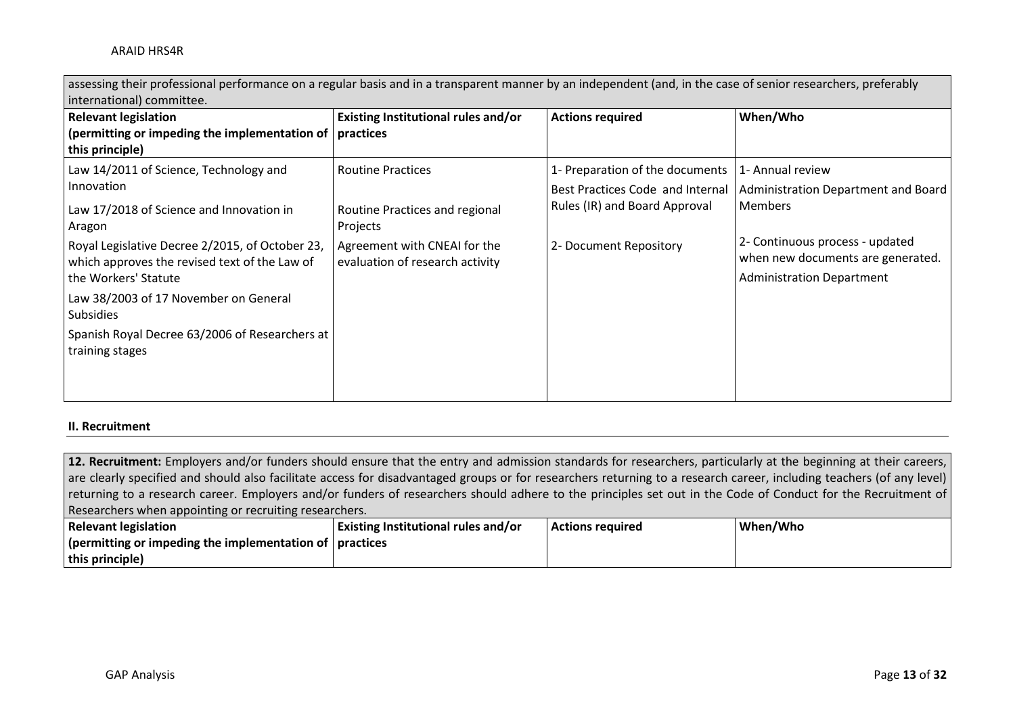| international) committee.                                                                                                                                                                                                                                                                                                                                         |                                                                                                                                           |                                                                                                                                |                                                                                                                                                                                       |
|-------------------------------------------------------------------------------------------------------------------------------------------------------------------------------------------------------------------------------------------------------------------------------------------------------------------------------------------------------------------|-------------------------------------------------------------------------------------------------------------------------------------------|--------------------------------------------------------------------------------------------------------------------------------|---------------------------------------------------------------------------------------------------------------------------------------------------------------------------------------|
| <b>Relevant legislation</b><br>(permitting or impeding the implementation of $ $ practices<br>this principle)                                                                                                                                                                                                                                                     | Existing Institutional rules and/or                                                                                                       | <b>Actions required</b>                                                                                                        | When/Who                                                                                                                                                                              |
| Law 14/2011 of Science, Technology and<br>Innovation<br>Law 17/2018 of Science and Innovation in<br>Aragon<br>Royal Legislative Decree 2/2015, of October 23,<br>which approves the revised text of the Law of<br>the Workers' Statute<br>Law 38/2003 of 17 November on General<br>Subsidies<br>Spanish Royal Decree 63/2006 of Researchers at<br>training stages | <b>Routine Practices</b><br>Routine Practices and regional<br>Projects<br>Agreement with CNEAI for the<br>evaluation of research activity | 1- Preparation of the documents<br>Best Practices Code and Internal<br>Rules (IR) and Board Approval<br>2- Document Repository | 1- Annual review<br>Administration Department and Board<br><b>Members</b><br>2- Continuous process - updated<br>when new documents are generated.<br><b>Administration Department</b> |

assessing their professional performance on a regular basis and in a transparent manner by an independent (and, in the case of senior researchers, preferably

### **II. Recruitment**

**12. Recruitment:** Employers and/or funders should ensure that the entry and admission standards for researchers, particularly at the beginning at their careers, are clearly specified and should also facilitate access for disadvantaged groups or for researchers returning to a research career, including teachers (of any level) returning to a research career. Employers and/or funders of researchers should adhere to the principles set out in the Code of Conduct for the Recruitment of Researchers when appointing or recruiting researchers.

| <b>Relevant legislation</b>                                             | Existing Institutional rules and/or | <b>Actions required</b> | When/Who |
|-------------------------------------------------------------------------|-------------------------------------|-------------------------|----------|
| $\vert$ (permitting or impeding the implementation of $\vert$ practices |                                     |                         |          |
| this principle)                                                         |                                     |                         |          |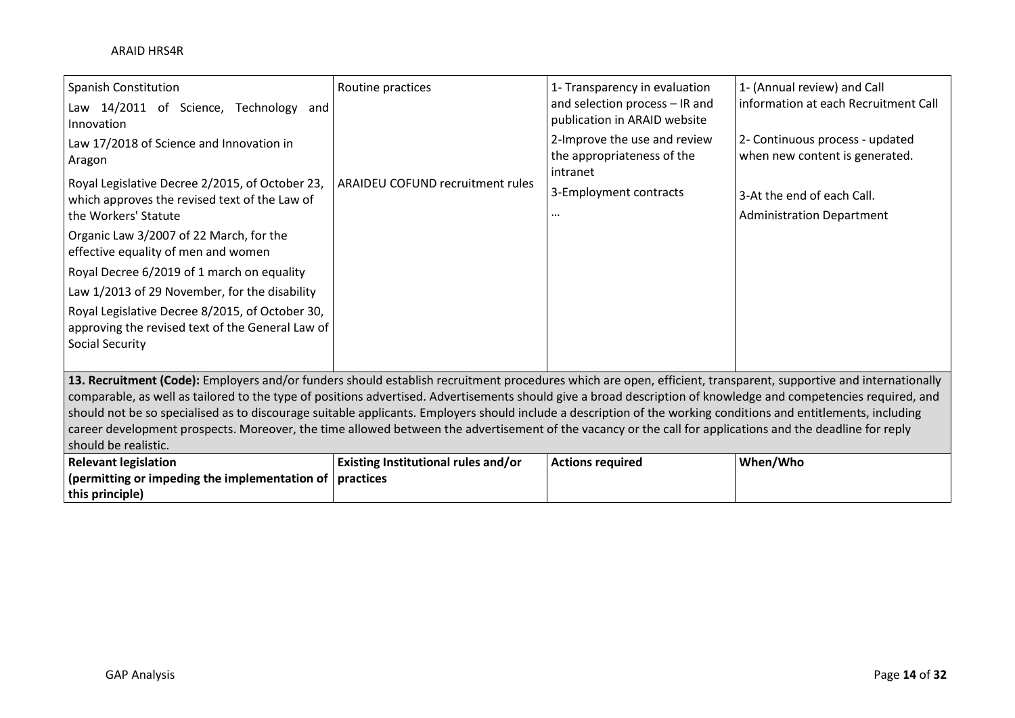| <b>Spanish Constitution</b><br>Law 14/2011 of Science, Technology and<br>Innovation                                                                                                                                                                                                                                                                                                                                                                                                                                                                                                                                                                                                        | Routine practices                       | 1- Transparency in evaluation<br>and selection process - IR and<br>publication in ARAID website | 1- (Annual review) and Call<br>information at each Recruitment Call |
|--------------------------------------------------------------------------------------------------------------------------------------------------------------------------------------------------------------------------------------------------------------------------------------------------------------------------------------------------------------------------------------------------------------------------------------------------------------------------------------------------------------------------------------------------------------------------------------------------------------------------------------------------------------------------------------------|-----------------------------------------|-------------------------------------------------------------------------------------------------|---------------------------------------------------------------------|
| Law 17/2018 of Science and Innovation in<br>Aragon                                                                                                                                                                                                                                                                                                                                                                                                                                                                                                                                                                                                                                         |                                         | 2-Improve the use and review<br>the appropriateness of the<br>intranet                          | 2- Continuous process - updated<br>when new content is generated.   |
| Royal Legislative Decree 2/2015, of October 23,<br>which approves the revised text of the Law of<br>the Workers' Statute                                                                                                                                                                                                                                                                                                                                                                                                                                                                                                                                                                   | <b>ARAIDEU COFUND recruitment rules</b> | 3-Employment contracts<br>                                                                      | 3-At the end of each Call.<br><b>Administration Department</b>      |
| Organic Law 3/2007 of 22 March, for the<br>effective equality of men and women                                                                                                                                                                                                                                                                                                                                                                                                                                                                                                                                                                                                             |                                         |                                                                                                 |                                                                     |
| Royal Decree 6/2019 of 1 march on equality                                                                                                                                                                                                                                                                                                                                                                                                                                                                                                                                                                                                                                                 |                                         |                                                                                                 |                                                                     |
| Law 1/2013 of 29 November, for the disability                                                                                                                                                                                                                                                                                                                                                                                                                                                                                                                                                                                                                                              |                                         |                                                                                                 |                                                                     |
| Royal Legislative Decree 8/2015, of October 30,<br>approving the revised text of the General Law of<br><b>Social Security</b>                                                                                                                                                                                                                                                                                                                                                                                                                                                                                                                                                              |                                         |                                                                                                 |                                                                     |
|                                                                                                                                                                                                                                                                                                                                                                                                                                                                                                                                                                                                                                                                                            |                                         |                                                                                                 |                                                                     |
| 13. Recruitment (Code): Employers and/or funders should establish recruitment procedures which are open, efficient, transparent, supportive and internationally<br>comparable, as well as tailored to the type of positions advertised. Advertisements should give a broad description of knowledge and competencies required, and<br>should not be so specialised as to discourage suitable applicants. Employers should include a description of the working conditions and entitlements, including<br>career development prospects. Moreover, the time allowed between the advertisement of the vacancy or the call for applications and the deadline for reply<br>should be realistic. |                                         |                                                                                                 |                                                                     |
| <b>Relevant legislation</b>                                                                                                                                                                                                                                                                                                                                                                                                                                                                                                                                                                                                                                                                | Existing Institutional rules and/or     | <b>Actions required</b>                                                                         | When/Who                                                            |
| (permitting or impeding the implementation of $ $ practices                                                                                                                                                                                                                                                                                                                                                                                                                                                                                                                                                                                                                                |                                         |                                                                                                 |                                                                     |
| this principle)                                                                                                                                                                                                                                                                                                                                                                                                                                                                                                                                                                                                                                                                            |                                         |                                                                                                 |                                                                     |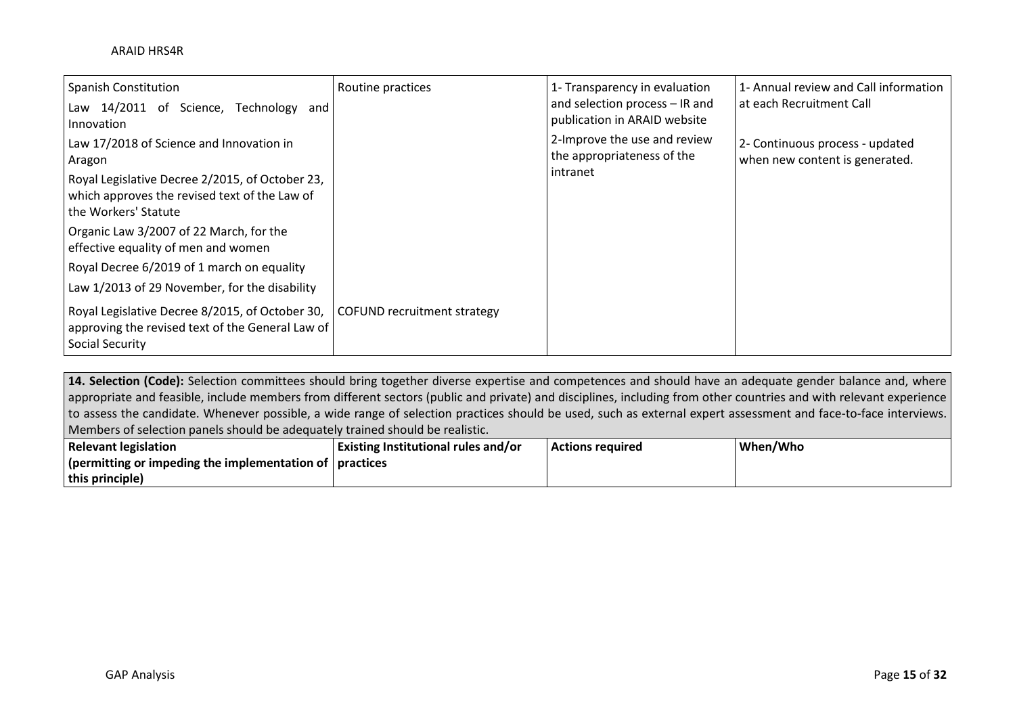| <b>Spanish Constitution</b><br>Law 14/2011 of Science,<br>Technology<br>and l<br>Innovation                                   | Routine practices           | 1- Transparency in evaluation<br>and selection process - IR and<br>publication in ARAID website | 1- Annual review and Call information<br>at each Recruitment Call |
|-------------------------------------------------------------------------------------------------------------------------------|-----------------------------|-------------------------------------------------------------------------------------------------|-------------------------------------------------------------------|
| Law 17/2018 of Science and Innovation in<br>Aragon                                                                            |                             | 2-Improve the use and review<br>the appropriateness of the<br>intranet                          | 2- Continuous process - updated<br>when new content is generated. |
| Royal Legislative Decree 2/2015, of October 23,<br>which approves the revised text of the Law of<br>the Workers' Statute      |                             |                                                                                                 |                                                                   |
| Organic Law 3/2007 of 22 March, for the<br>effective equality of men and women                                                |                             |                                                                                                 |                                                                   |
| Royal Decree 6/2019 of 1 march on equality<br>Law 1/2013 of 29 November, for the disability                                   |                             |                                                                                                 |                                                                   |
| Royal Legislative Decree 8/2015, of October 30,<br>approving the revised text of the General Law of<br><b>Social Security</b> | COFUND recruitment strategy |                                                                                                 |                                                                   |

14. Selection (Code): Selection committees should bring together diverse expertise and competences and should have an adequate gender balance and, where appropriate and feasible, include members from different sectors (public and private) and disciplines, including from other countries and with relevant experience to assess the candidate. Whenever possible, a wide range of selection practices should be used, such as external expert assessment and face-to-face interviews. Members of selection panels should be adequately trained should be realistic.

| <b>Relevant legislation</b>                                                         | Existing Institutional rules and/or | <b>Actions required</b> | When/Who |
|-------------------------------------------------------------------------------------|-------------------------------------|-------------------------|----------|
| $\frac{1}{2}$ (permitting or impeding the implementation of $\frac{1}{2}$ practices |                                     |                         |          |
| this principle)                                                                     |                                     |                         |          |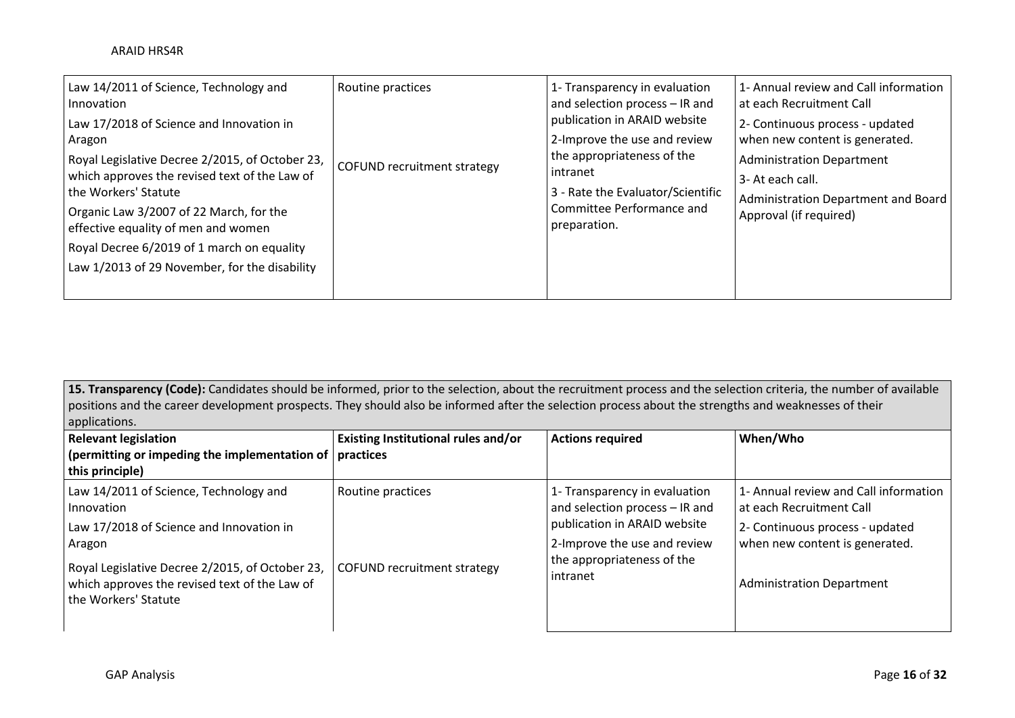| Law 14/2011 of Science, Technology and<br>Innovation<br>Law 17/2018 of Science and Innovation in<br>Aragon<br>Royal Legislative Decree 2/2015, of October 23,<br>which approves the revised text of the Law of<br>the Workers' Statute<br>Organic Law 3/2007 of 22 March, for the<br>effective equality of men and women<br>Royal Decree 6/2019 of 1 march on equality<br>Law 1/2013 of 29 November, for the disability | Routine practices<br><b>COFUND recruitment strategy</b> | 1- Transparency in evaluation<br>and selection process - IR and<br>publication in ARAID website<br>2-Improve the use and review<br>the appropriateness of the<br>intranet<br>3 - Rate the Evaluator/Scientific<br>Committee Performance and<br>preparation. | 1- Annual review and Call information<br>l at each Recruitment Call<br>2- Continuous process - updated<br>when new content is generated.<br><b>Administration Department</b><br>3- At each call.<br>Administration Department and Board<br>Approval (if required) |
|-------------------------------------------------------------------------------------------------------------------------------------------------------------------------------------------------------------------------------------------------------------------------------------------------------------------------------------------------------------------------------------------------------------------------|---------------------------------------------------------|-------------------------------------------------------------------------------------------------------------------------------------------------------------------------------------------------------------------------------------------------------------|-------------------------------------------------------------------------------------------------------------------------------------------------------------------------------------------------------------------------------------------------------------------|
|-------------------------------------------------------------------------------------------------------------------------------------------------------------------------------------------------------------------------------------------------------------------------------------------------------------------------------------------------------------------------------------------------------------------------|---------------------------------------------------------|-------------------------------------------------------------------------------------------------------------------------------------------------------------------------------------------------------------------------------------------------------------|-------------------------------------------------------------------------------------------------------------------------------------------------------------------------------------------------------------------------------------------------------------------|

15. Transparency (Code): Candidates should be informed, prior to the selection, about the recruitment process and the selection criteria, the number of available positions and the career development prospects. They should also be informed after the selection process about the strengths and weaknesses of their applications.

| <b>Relevant legislation</b><br>(permitting or impeding the implementation of $ $ practices<br>this principle)                                                                                                                          | Existing Institutional rules and/or                     | <b>Actions required</b>                                                                                                                                                   | When/Who                                                                                                                                                                   |
|----------------------------------------------------------------------------------------------------------------------------------------------------------------------------------------------------------------------------------------|---------------------------------------------------------|---------------------------------------------------------------------------------------------------------------------------------------------------------------------------|----------------------------------------------------------------------------------------------------------------------------------------------------------------------------|
| Law 14/2011 of Science, Technology and<br>Innovation<br>Law 17/2018 of Science and Innovation in<br>Aragon<br>Royal Legislative Decree 2/2015, of October 23,<br>which approves the revised text of the Law of<br>the Workers' Statute | Routine practices<br><b>COFUND recruitment strategy</b> | 1- Transparency in evaluation<br>and selection process - IR and<br>publication in ARAID website<br>2-Improve the use and review<br>the appropriateness of the<br>intranet | 1- Annual review and Call information<br>at each Recruitment Call<br>2- Continuous process - updated<br>when new content is generated.<br><b>Administration Department</b> |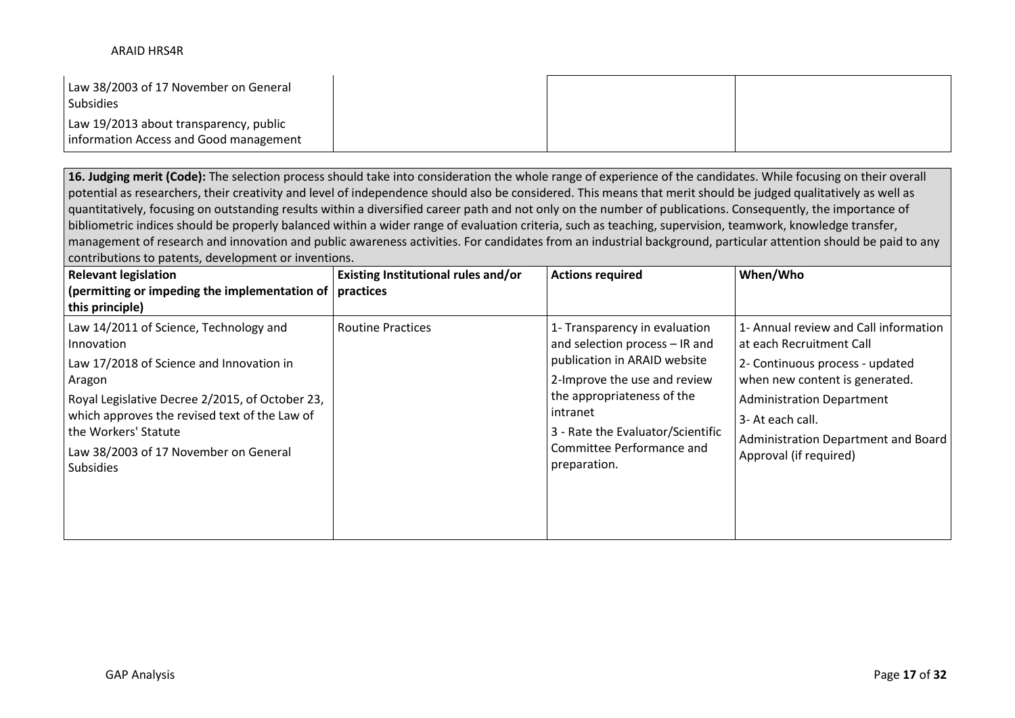| Law 38/2003 of 17 November on General<br><b>Subsidies</b>                        |  |  |
|----------------------------------------------------------------------------------|--|--|
| Law 19/2013 about transparency, public<br>Information Access and Good management |  |  |

**16. Judging merit (Code):** The selection process should take into consideration the whole range of experience of the candidates. While focusing on their overall potential as researchers, their creativity and level of independence should also be considered. This means that merit should be judged qualitatively as well as quantitatively, focusing on outstanding results within a diversified career path and not only on the number of publications. Consequently, the importance of bibliometric indices should be properly balanced within a wider range of evaluation criteria, such as teaching, supervision, teamwork, knowledge transfer, management of research and innovation and public awareness activities. For candidates from an industrial background, particular attention should be paid to any contributions to patents, development or inventions.

| <b>Relevant legislation</b><br>(permitting or impeding the implementation of   practices<br>this principle)                                                                                                                                                                                         | Existing Institutional rules and/or | <b>Actions required</b>                                                                                                                                                                                                                                     | When/Who                                                                                                                                                                                                                                                        |
|-----------------------------------------------------------------------------------------------------------------------------------------------------------------------------------------------------------------------------------------------------------------------------------------------------|-------------------------------------|-------------------------------------------------------------------------------------------------------------------------------------------------------------------------------------------------------------------------------------------------------------|-----------------------------------------------------------------------------------------------------------------------------------------------------------------------------------------------------------------------------------------------------------------|
| Law 14/2011 of Science, Technology and<br>Innovation<br>Law 17/2018 of Science and Innovation in<br>Aragon<br>Royal Legislative Decree 2/2015, of October 23,<br>which approves the revised text of the Law of<br>the Workers' Statute<br>Law 38/2003 of 17 November on General<br><b>Subsidies</b> | <b>Routine Practices</b>            | 1- Transparency in evaluation<br>and selection process - IR and<br>publication in ARAID website<br>2-Improve the use and review<br>the appropriateness of the<br>intranet<br>3 - Rate the Evaluator/Scientific<br>Committee Performance and<br>preparation. | 1- Annual review and Call information<br>at each Recruitment Call<br>2- Continuous process - updated<br>when new content is generated.<br><b>Administration Department</b><br>3- At each call.<br>Administration Department and Board<br>Approval (if required) |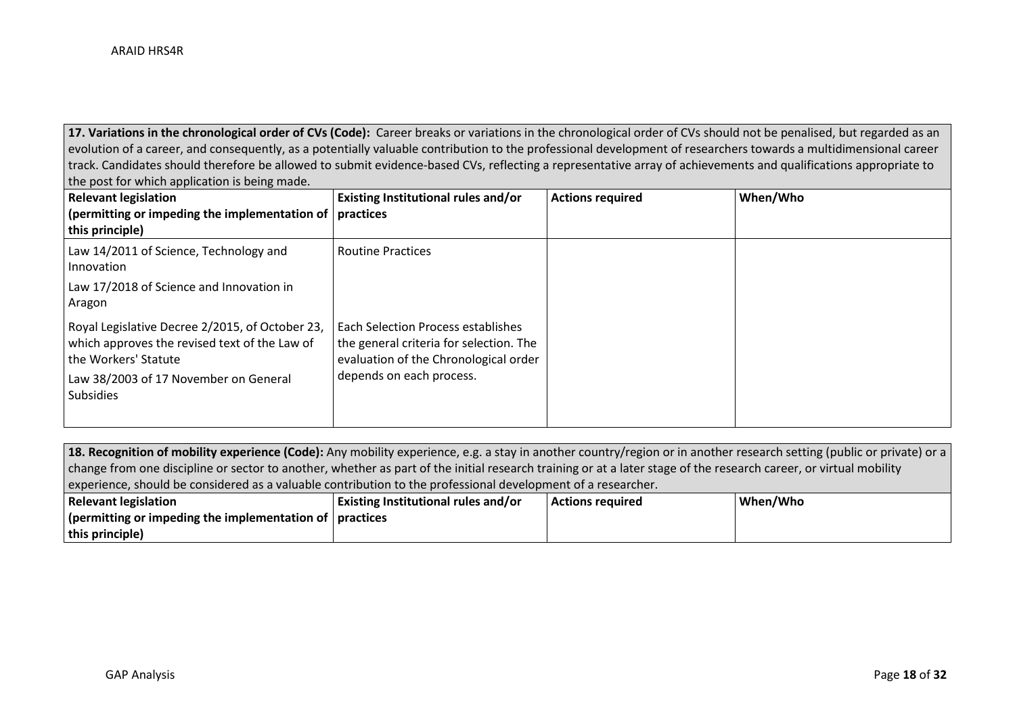17. Variations in the chronological order of CVs (Code): Career breaks or variations in the chronological order of CVs should not be penalised, but regarded as an evolution of a career, and consequently, as a potentially valuable contribution to the professional development of researchers towards a multidimensional career track. Candidates should therefore be allowed to submit evidence-based CVs, reflecting a representative array of achievements and qualifications appropriate to the post for which application is being made.

| <b>Relevant legislation</b><br>(permitting or impeding the implementation of $\vert$ practices<br>this principle)                                                                     | Existing Institutional rules and/or                                                                                                                | <b>Actions required</b> | When/Who |
|---------------------------------------------------------------------------------------------------------------------------------------------------------------------------------------|----------------------------------------------------------------------------------------------------------------------------------------------------|-------------------------|----------|
| Law 14/2011 of Science, Technology and<br>Innovation                                                                                                                                  | <b>Routine Practices</b>                                                                                                                           |                         |          |
| Law 17/2018 of Science and Innovation in<br>Aragon                                                                                                                                    |                                                                                                                                                    |                         |          |
| Royal Legislative Decree 2/2015, of October 23,<br>which approves the revised text of the Law of<br>the Workers' Statute<br>Law 38/2003 of 17 November on General<br><b>Subsidies</b> | Each Selection Process establishes<br>the general criteria for selection. The<br>evaluation of the Chronological order<br>depends on each process. |                         |          |

| Relevant legislation                                                                                                                                                  | $\mid$ Evicting Institutional rules and/or | Actions required | Mhan/Mh |  |  |
|-----------------------------------------------------------------------------------------------------------------------------------------------------------------------|--------------------------------------------|------------------|---------|--|--|
| experience, should be considered as a valuable contribution to the professional development of a researcher.                                                          |                                            |                  |         |  |  |
| change from one discipline or sector to another, whether as part of the initial research training or at a later stage of the research career, or virtual mobility     |                                            |                  |         |  |  |
| 18. Recognition of mobility experience (Code): Any mobility experience, e.g. a stay in another country/region or in another research setting (public or private) or a |                                            |                  |         |  |  |

| <b>Relevant legislation</b>                                                         | <b>Existing Institutional rules and/or</b> | Actions required | When/Who |
|-------------------------------------------------------------------------------------|--------------------------------------------|------------------|----------|
| $\frac{1}{2}$ (permitting or impeding the implementation of $\frac{1}{2}$ practices |                                            |                  |          |
| $ $ this principle)                                                                 |                                            |                  |          |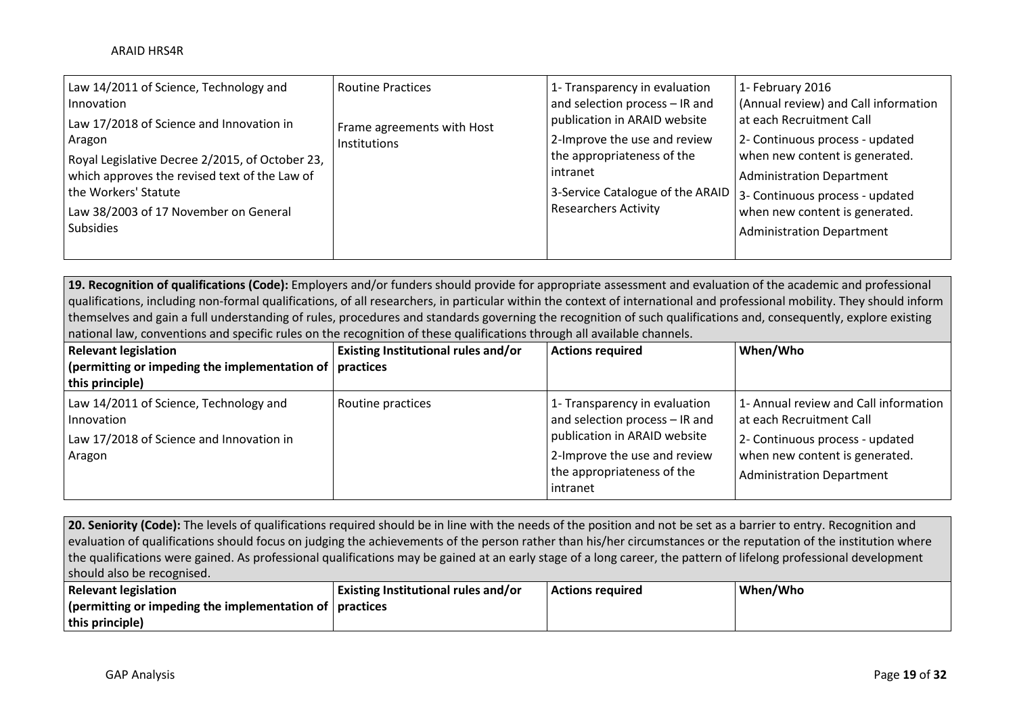| Law 14/2011 of Science, Technology and                                                           | <b>Routine Practices</b>   | 1- Transparency in evaluation                                      | 1- February 2016                                                   |
|--------------------------------------------------------------------------------------------------|----------------------------|--------------------------------------------------------------------|--------------------------------------------------------------------|
| Innovation<br>Law 17/2018 of Science and Innovation in                                           | Frame agreements with Host | and selection process - IR and<br>publication in ARAID website     | (Annual review) and Call information<br>at each Recruitment Call   |
| Aragon                                                                                           | Institutions               | 2-Improve the use and review                                       | 2- Continuous process - updated                                    |
| Royal Legislative Decree 2/2015, of October 23,<br>which approves the revised text of the Law of |                            | the appropriateness of the<br>intranet                             | when new content is generated.<br><b>Administration Department</b> |
| the Workers' Statute                                                                             |                            | 3-Service Catalogue of the ARAID   3- Continuous process - updated |                                                                    |
| Law 38/2003 of 17 November on General                                                            |                            | <b>Researchers Activity</b>                                        | when new content is generated.                                     |
| <b>Subsidies</b>                                                                                 |                            |                                                                    | <b>Administration Department</b>                                   |
|                                                                                                  |                            |                                                                    |                                                                    |

**19. Recognition of qualifications (Code):** Employers and/or funders should provide for appropriate assessment and evaluation of the academic and professional qualifications, including non-formal qualifications, of all researchers, in particular within the context of international and professional mobility. They should inform themselves and gain a full understanding of rules, procedures and standards governing the recognition of such qualifications and, consequently, explore existing national law, conventions and specific rules on the recognition of these qualifications through all available channels.

| <b>Relevant legislation</b>                                                                                | Existing Institutional rules and/or | <b>Actions required</b>                                                                                                                                                   | When/Who                                                                                                                                                            |
|------------------------------------------------------------------------------------------------------------|-------------------------------------|---------------------------------------------------------------------------------------------------------------------------------------------------------------------------|---------------------------------------------------------------------------------------------------------------------------------------------------------------------|
| $\vert$ (permitting or impeding the implementation of $\vert$ practices                                    |                                     |                                                                                                                                                                           |                                                                                                                                                                     |
| this principle)                                                                                            |                                     |                                                                                                                                                                           |                                                                                                                                                                     |
| Law 14/2011 of Science, Technology and<br>Innovation<br>Law 17/2018 of Science and Innovation in<br>Aragon | Routine practices                   | 1- Transparency in evaluation<br>and selection process - IR and<br>publication in ARAID website<br>2-Improve the use and review<br>the appropriateness of the<br>intranet | 1- Annual review and Call information<br>at each Recruitment Call<br>2- Continuous process - updated<br>when new content is generated.<br>Administration Department |

20. Seniority (Code): The levels of qualifications required should be in line with the needs of the position and not be set as a barrier to entry. Recognition and evaluation of qualifications should focus on judging the achievements of the person rather than his/her circumstances or the reputation of the institution where the qualifications were gained. As professional qualifications may be gained at an early stage of a long career, the pattern of lifelong professional development should also be recognised.

| <b>Relevant legislation</b>                                             | <b>Existing Institutional rules and/or</b> | Actions required | When/Who |
|-------------------------------------------------------------------------|--------------------------------------------|------------------|----------|
| $\vert$ (permitting or impeding the implementation of $\vert$ practices |                                            |                  |          |
| this principle)                                                         |                                            |                  |          |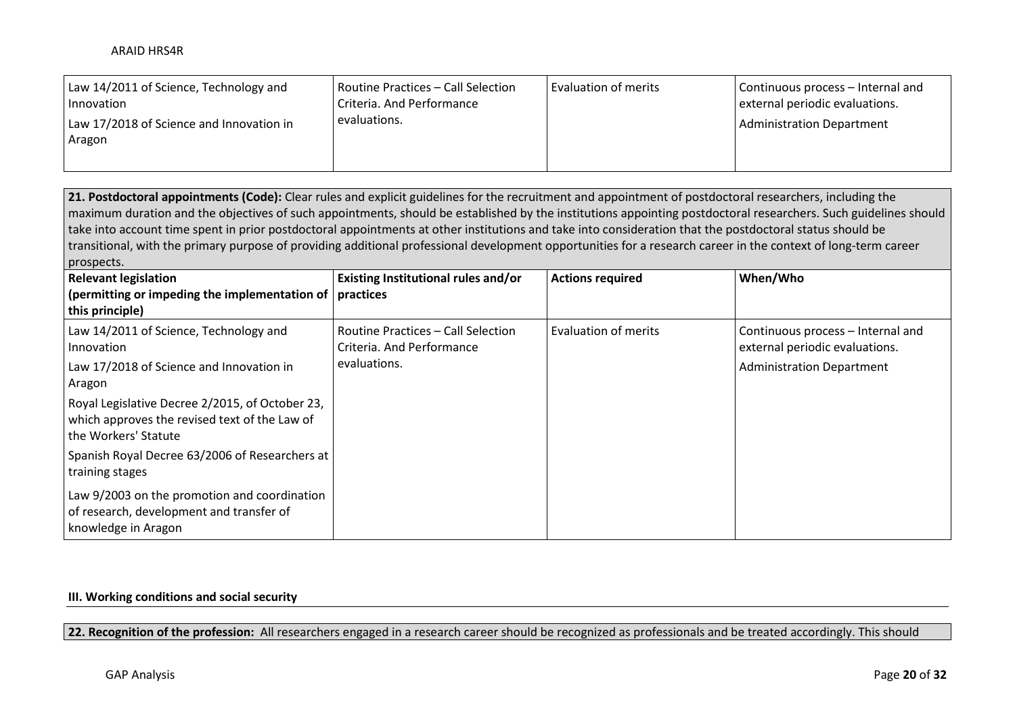| Law 14/2011 of Science, Technology and<br>Innovation | Routine Practices – Call Selection<br>Criteria. And Performance | Evaluation of merits | Continuous process – Internal and<br>external periodic evaluations. |
|------------------------------------------------------|-----------------------------------------------------------------|----------------------|---------------------------------------------------------------------|
| Law 17/2018 of Science and Innovation in<br>Aragon   | evaluations.                                                    |                      | Administration Department                                           |
|                                                      |                                                                 |                      |                                                                     |

**21. Postdoctoral appointments (Code):** Clear rules and explicit guidelines for the recruitment and appointment of postdoctoral researchers, including the maximum duration and the objectives of such appointments, should be established by the institutions appointing postdoctoral researchers. Such guidelines should take into account time spent in prior postdoctoral appointments at other institutions and take into consideration that the postdoctoral status should be transitional, with the primary purpose of providing additional professional development opportunities for a research career in the context of long-term career prospects.

| <b>Relevant legislation</b><br>(permitting or impeding the implementation of $ $ practices<br>this principle)            | Existing Institutional rules and/or                                             | <b>Actions required</b> | When/Who                                                                                                |
|--------------------------------------------------------------------------------------------------------------------------|---------------------------------------------------------------------------------|-------------------------|---------------------------------------------------------------------------------------------------------|
| Law 14/2011 of Science, Technology and<br>Innovation<br>Law 17/2018 of Science and Innovation in<br>Aragon               | Routine Practices – Call Selection<br>Criteria. And Performance<br>evaluations. | Evaluation of merits    | Continuous process - Internal and<br>external periodic evaluations.<br><b>Administration Department</b> |
| Royal Legislative Decree 2/2015, of October 23,<br>which approves the revised text of the Law of<br>the Workers' Statute |                                                                                 |                         |                                                                                                         |
| Spanish Royal Decree 63/2006 of Researchers at<br>training stages                                                        |                                                                                 |                         |                                                                                                         |
| Law 9/2003 on the promotion and coordination<br>of research, development and transfer of<br>knowledge in Aragon          |                                                                                 |                         |                                                                                                         |

### **III. Working conditions and social security**

**22. Recognition of the profession:** All researchers engaged in a research career should be recognized as professionals and be treated accordingly. This should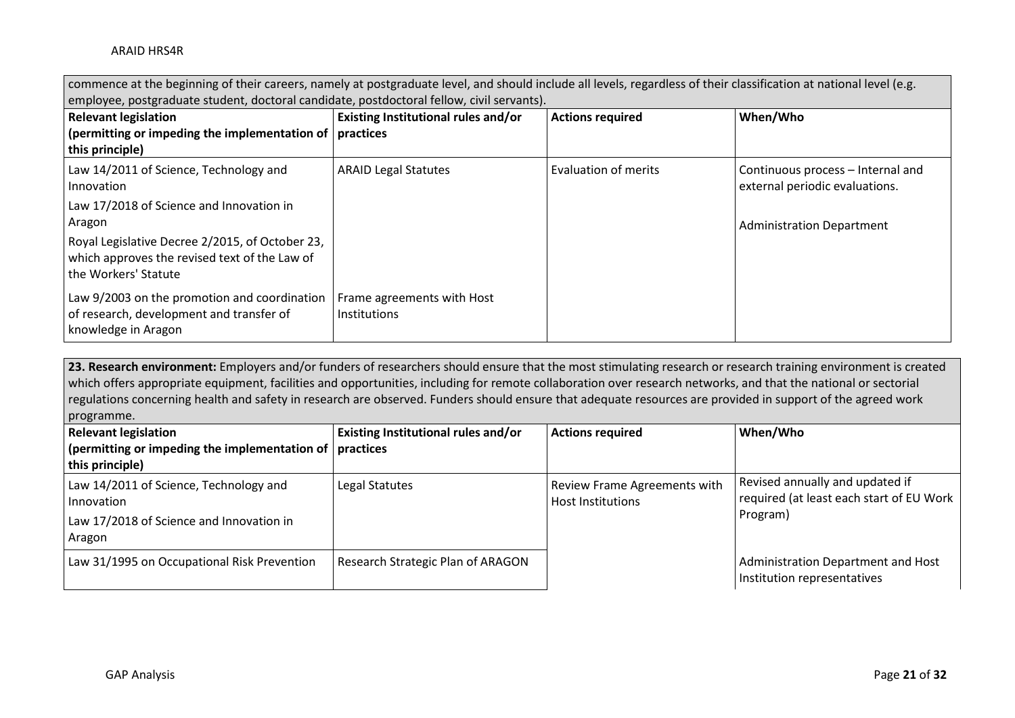| commence at the beginning of their careers, namely at postgraduate level, and should include all levels, regardless of their classification at national level (e.g. |                                                                                           |                             |                                                                     |  |  |
|---------------------------------------------------------------------------------------------------------------------------------------------------------------------|-------------------------------------------------------------------------------------------|-----------------------------|---------------------------------------------------------------------|--|--|
|                                                                                                                                                                     | employee, postgraduate student, doctoral candidate, postdoctoral fellow, civil servants). |                             |                                                                     |  |  |
| Existing Institutional rules and/or<br>When/Who<br><b>Relevant legislation</b><br><b>Actions required</b>                                                           |                                                                                           |                             |                                                                     |  |  |
| (permitting or impeding the implementation of $ $ practices                                                                                                         |                                                                                           |                             |                                                                     |  |  |
| this principle)                                                                                                                                                     |                                                                                           |                             |                                                                     |  |  |
| Law 14/2011 of Science, Technology and<br>Innovation                                                                                                                | <b>ARAID Legal Statutes</b>                                                               | <b>Evaluation of merits</b> | Continuous process - Internal and<br>external periodic evaluations. |  |  |
| Law 17/2018 of Science and Innovation in<br>Aragon                                                                                                                  |                                                                                           |                             | <b>Administration Department</b>                                    |  |  |
| Royal Legislative Decree 2/2015, of October 23,<br>which approves the revised text of the Law of<br>I the Workers' Statute                                          |                                                                                           |                             |                                                                     |  |  |
| Law 9/2003 on the promotion and coordination<br>of research, development and transfer of<br>knowledge in Aragon                                                     | Frame agreements with Host<br><b>Institutions</b>                                         |                             |                                                                     |  |  |

23. Research environment: Employers and/or funders of researchers should ensure that the most stimulating research or research training environment is created which offers appropriate equipment, facilities and opportunities, including for remote collaboration over research networks, and that the national or sectorial regulations concerning health and safety in research are observed. Funders should ensure that adequate resources are provided in support of the agreed work programme.

| <b>Relevant legislation</b>                                                                                | Existing Institutional rules and/or | <b>Actions required</b>                                         | When/Who                                                                                |
|------------------------------------------------------------------------------------------------------------|-------------------------------------|-----------------------------------------------------------------|-----------------------------------------------------------------------------------------|
| $\frac{1}{2}$ (permitting or impeding the implementation of $\frac{1}{2}$ practices                        |                                     |                                                                 |                                                                                         |
| this principle)                                                                                            |                                     |                                                                 |                                                                                         |
| Law 14/2011 of Science, Technology and<br>Innovation<br>Law 17/2018 of Science and Innovation in<br>Aragon | Legal Statutes                      | <b>Review Frame Agreements with</b><br><b>Host Institutions</b> | Revised annually and updated if<br>required (at least each start of EU Work<br>Program) |
| Law 31/1995 on Occupational Risk Prevention                                                                | Research Strategic Plan of ARAGON   |                                                                 | Administration Department and Host<br>Institution representatives                       |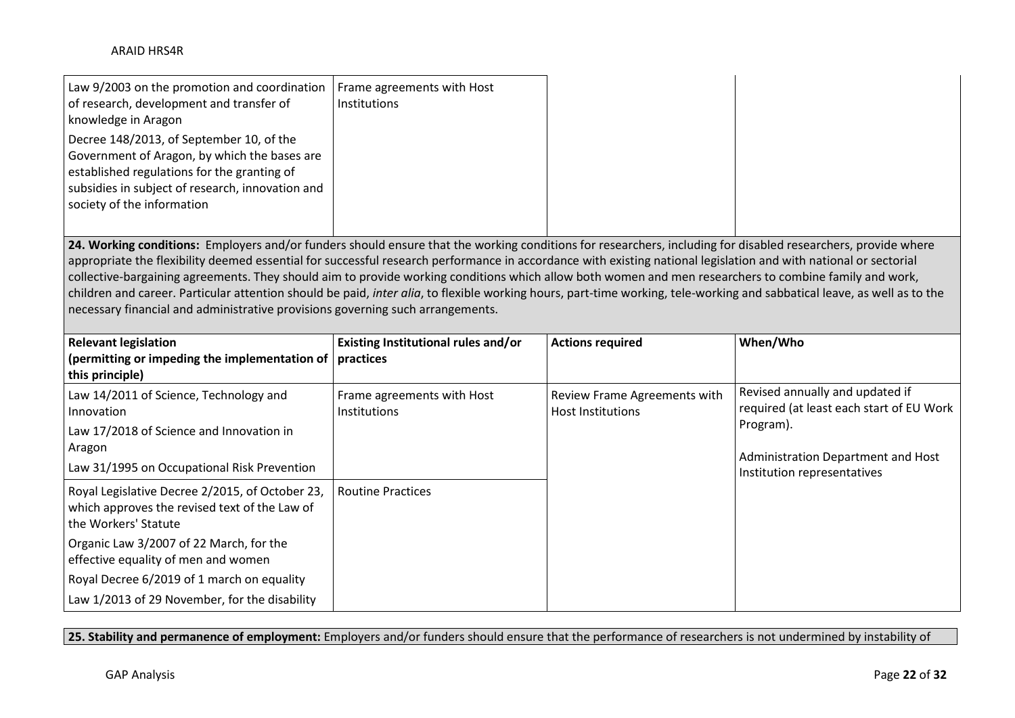| Law 9/2003 on the promotion and coordination   Frame agreements with Host<br>of research, development and transfer of<br>knowledge in Aragon                                                                              | <b>Institutions</b> |
|---------------------------------------------------------------------------------------------------------------------------------------------------------------------------------------------------------------------------|---------------------|
| Decree 148/2013, of September 10, of the<br>Government of Aragon, by which the bases are<br>established regulations for the granting of<br>subsidies in subject of research, innovation and<br>society of the information |                     |

24. Working conditions: Employers and/or funders should ensure that the working conditions for researchers, including for disabled researchers, provide where appropriate the flexibility deemed essential for successful research performance in accordance with existing national legislation and with national or sectorial collective-bargaining agreements. They should aim to provide working conditions which allow both women and men researchers to combine family and work, children and career. Particular attention should be paid, *inter alia*, to flexible working hours, part-time working, tele-working and sabbatical leave, as well as to the necessary financial and administrative provisions governing such arrangements.

| <b>Relevant legislation</b>                                                                                              | Existing Institutional rules and/or               | <b>Actions required</b>                                  | When/Who                                                                    |
|--------------------------------------------------------------------------------------------------------------------------|---------------------------------------------------|----------------------------------------------------------|-----------------------------------------------------------------------------|
| (permitting or impeding the implementation of $ $ practices<br>this principle)                                           |                                                   |                                                          |                                                                             |
| Law 14/2011 of Science, Technology and<br>Innovation                                                                     | Frame agreements with Host<br><b>Institutions</b> | Review Frame Agreements with<br><b>Host Institutions</b> | Revised annually and updated if<br>required (at least each start of EU Work |
| Law 17/2018 of Science and Innovation in<br>Aragon                                                                       |                                                   |                                                          | Program).                                                                   |
| Law 31/1995 on Occupational Risk Prevention                                                                              |                                                   |                                                          | Administration Department and Host<br>Institution representatives           |
| Royal Legislative Decree 2/2015, of October 23,<br>which approves the revised text of the Law of<br>the Workers' Statute | <b>Routine Practices</b>                          |                                                          |                                                                             |
| Organic Law 3/2007 of 22 March, for the<br>effective equality of men and women                                           |                                                   |                                                          |                                                                             |
| Royal Decree 6/2019 of 1 march on equality                                                                               |                                                   |                                                          |                                                                             |
| Law 1/2013 of 29 November, for the disability                                                                            |                                                   |                                                          |                                                                             |

**25. Stability and permanence of employment:** Employers and/or funders should ensure that the performance of researchers is not undermined by instability of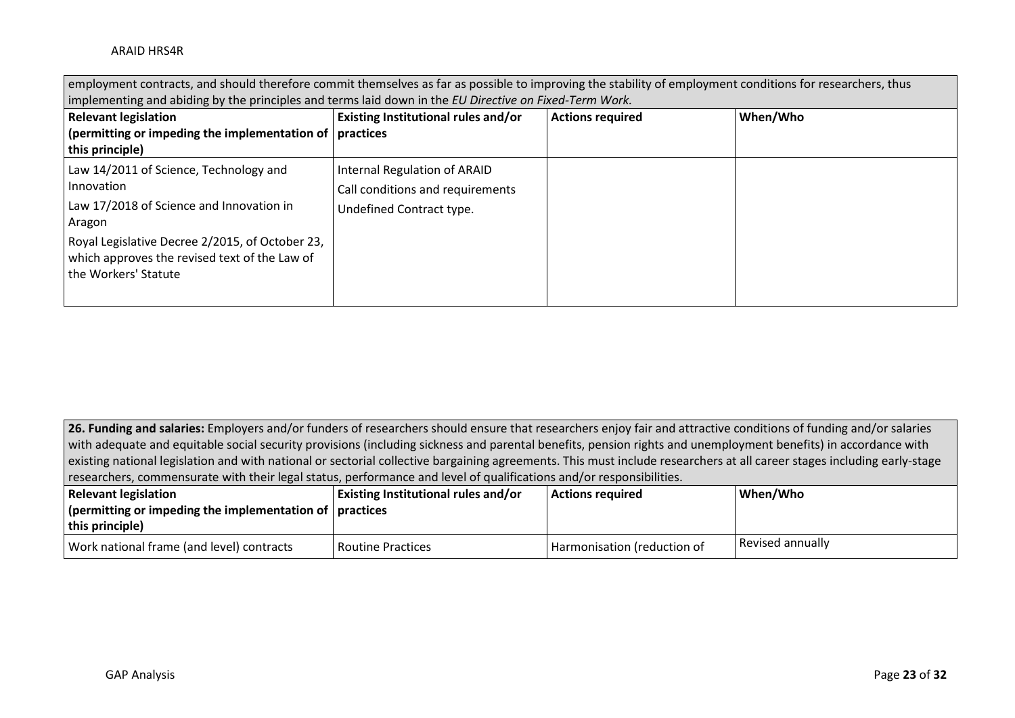| employment contracts, and should therefore commit themselves as far as possible to improving the stability of employment conditions for researchers, thus |                                                                  |                         |          |  |
|-----------------------------------------------------------------------------------------------------------------------------------------------------------|------------------------------------------------------------------|-------------------------|----------|--|
| implementing and abiding by the principles and terms laid down in the EU Directive on Fixed-Term Work.                                                    |                                                                  |                         |          |  |
| <b>Relevant legislation</b>                                                                                                                               | Existing Institutional rules and/or                              | <b>Actions required</b> | When/Who |  |
| (permitting or impeding the implementation of $\vert$ practices<br>this principle)                                                                        |                                                                  |                         |          |  |
| Law 14/2011 of Science, Technology and<br>Innovation                                                                                                      | Internal Regulation of ARAID<br>Call conditions and requirements |                         |          |  |
| Law 17/2018 of Science and Innovation in<br>Aragon                                                                                                        | Undefined Contract type.                                         |                         |          |  |
| Royal Legislative Decree 2/2015, of October 23,<br>which approves the revised text of the Law of<br>the Workers' Statute                                  |                                                                  |                         |          |  |

26. Funding and salaries: Employers and/or funders of researchers should ensure that researchers enjoy fair and attractive conditions of funding and/or salaries with adequate and equitable social security provisions (including sickness and parental benefits, pension rights and unemployment benefits) in accordance with existing national legislation and with national or sectorial collective bargaining agreements. This must include researchers at all career stages including early-stage researchers, commensurate with their legal status, performance and level of qualifications and/or responsibilities.

| <b>Relevant legislation</b>                                 | <b>Existing Institutional rules and/or</b> | <b>Actions required</b>     | When/Who         |
|-------------------------------------------------------------|--------------------------------------------|-----------------------------|------------------|
| (permitting or impeding the implementation of $ $ practices |                                            |                             |                  |
| this principle)                                             |                                            |                             |                  |
| Work national frame (and level) contracts                   | l Routine Practices                        | Harmonisation (reduction of | Revised annually |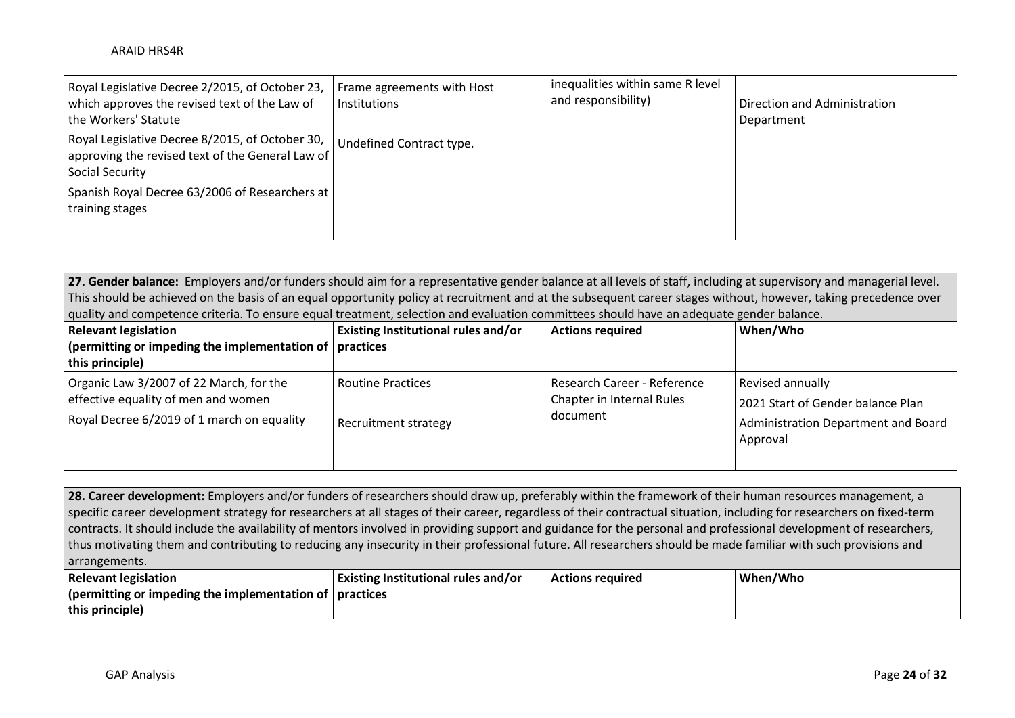| Royal Legislative Decree 2/2015, of October 23,<br>which approves the revised text of the Law of<br>the Workers' Statute | Frame agreements with Host<br>Institutions | inequalities within same R level<br>and responsibility) | Direction and Administration<br>Department |
|--------------------------------------------------------------------------------------------------------------------------|--------------------------------------------|---------------------------------------------------------|--------------------------------------------|
| Royal Legislative Decree 8/2015, of October 30,<br>approving the revised text of the General Law of<br>Social Security   | Undefined Contract type.                   |                                                         |                                            |
| Spanish Royal Decree 63/2006 of Researchers at<br>training stages                                                        |                                            |                                                         |                                            |

**27. Gender balance:** Employers and/or funders should aim for a representative gender balance at all levels of staff, including at supervisory and managerial level. This should be achieved on the basis of an equal opportunity policy at recruitment and at the subsequent career stages without, however, taking precedence over quality and competence criteria. To ensure equal treatment, selection and evaluation committees should have an adequate gender balance.

| <b>Relevant legislation</b>                                                                                                  | Existing Institutional rules and/or                     | <b>Actions required</b>                                              | When/Who                                                                                                 |
|------------------------------------------------------------------------------------------------------------------------------|---------------------------------------------------------|----------------------------------------------------------------------|----------------------------------------------------------------------------------------------------------|
| (permitting or impeding the implementation of $ $ practices<br>this principle)                                               |                                                         |                                                                      |                                                                                                          |
| Organic Law 3/2007 of 22 March, for the<br>effective equality of men and women<br>Royal Decree 6/2019 of 1 march on equality | <b>Routine Practices</b><br><b>Recruitment strategy</b> | Research Career - Reference<br>Chapter in Internal Rules<br>document | Revised annually<br>2021 Start of Gender balance Plan<br>Administration Department and Board<br>Approval |

**28. Career development:** Employers and/or funders of researchers should draw up, preferably within the framework of their human resources management, a specific career development strategy for researchers at all stages of their career, regardless of their contractual situation, including for researchers on fixed-term contracts. It should include the availability of mentors involved in providing support and guidance for the personal and professional development of researchers, thus motivating them and contributing to reducing any insecurity in their professional future. All researchers should be made familiar with such provisions and arrangements.

| <b>Relevant legislation</b>                                                         | Existing Institutional rules and/or | <b>Actions required</b> | When/Who |
|-------------------------------------------------------------------------------------|-------------------------------------|-------------------------|----------|
| $\frac{1}{2}$ (permitting or impeding the implementation of $\frac{1}{2}$ practices |                                     |                         |          |
| this principle)                                                                     |                                     |                         |          |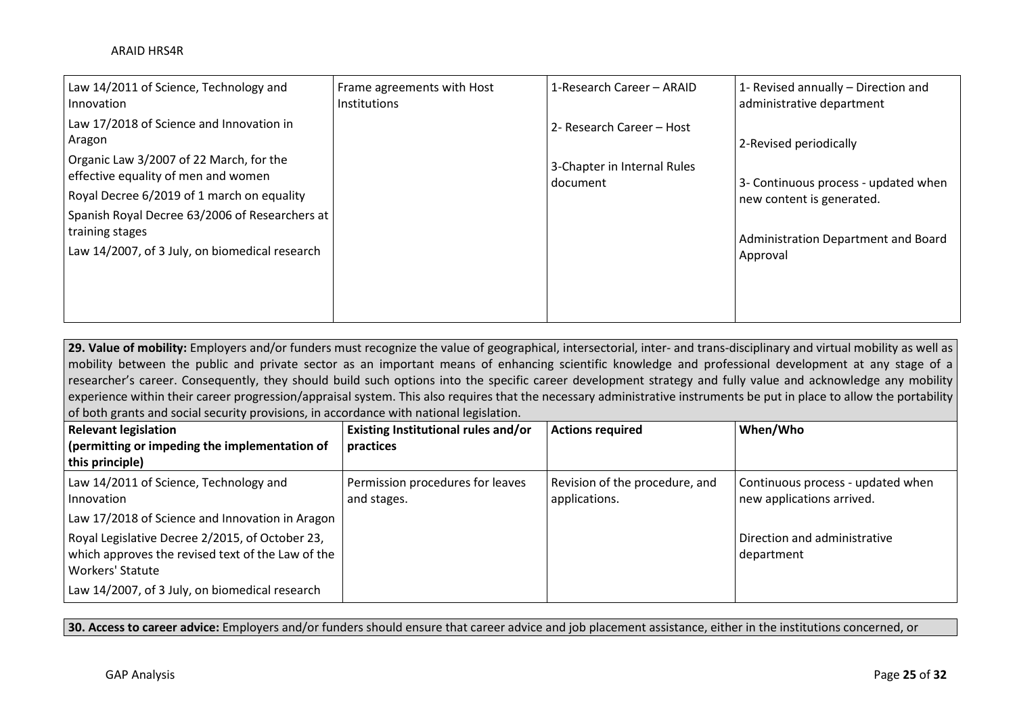| Law 14/2011 of Science, Technology and<br>Innovation                                         | Frame agreements with Host<br><b>Institutions</b> | 1-Research Career - ARAID               | 1- Revised annually - Direction and<br>administrative department |
|----------------------------------------------------------------------------------------------|---------------------------------------------------|-----------------------------------------|------------------------------------------------------------------|
| Law 17/2018 of Science and Innovation in<br>Aragon                                           |                                                   | 2- Research Career – Host               | 2-Revised periodically                                           |
| Organic Law 3/2007 of 22 March, for the<br>effective equality of men and women               |                                                   | 3-Chapter in Internal Rules<br>document | 3- Continuous process - updated when                             |
| Royal Decree 6/2019 of 1 march on equality<br>Spanish Royal Decree 63/2006 of Researchers at |                                                   |                                         | new content is generated.                                        |
| training stages<br>Law 14/2007, of 3 July, on biomedical research                            |                                                   |                                         | Administration Department and Board                              |
|                                                                                              |                                                   |                                         | Approval                                                         |
|                                                                                              |                                                   |                                         |                                                                  |

29. Value of mobility: Employers and/or funders must recognize the value of geographical, intersectorial, inter- and trans-disciplinary and virtual mobility as well as mobility between the public and private sector as an important means of enhancing scientific knowledge and professional development at any stage of a researcher's career. Consequently, they should build such options into the specific career development strategy and fully value and acknowledge any mobility experience within their career progression/appraisal system. This also requires that the necessary administrative instruments be put in place to allow the portability of both grants and social security provisions, in accordance with national legislation.

| <b>Relevant legislation</b>                       | Existing Institutional rules and/or | <b>Actions required</b>        | When/Who                          |
|---------------------------------------------------|-------------------------------------|--------------------------------|-----------------------------------|
| (permitting or impeding the implementation of     | practices                           |                                |                                   |
| this principle)                                   |                                     |                                |                                   |
| Law 14/2011 of Science, Technology and            | Permission procedures for leaves    | Revision of the procedure, and | Continuous process - updated when |
| Innovation                                        | and stages.                         | applications.                  | new applications arrived.         |
| Law 17/2018 of Science and Innovation in Aragon   |                                     |                                |                                   |
| Royal Legislative Decree 2/2015, of October 23,   |                                     |                                | Direction and administrative      |
| which approves the revised text of the Law of the |                                     |                                | department                        |
| <b>Workers' Statute</b>                           |                                     |                                |                                   |
| Law 14/2007, of 3 July, on biomedical research    |                                     |                                |                                   |

**30. Access to career advice:** Employers and/or funders should ensure that career advice and job placement assistance, either in the institutions concerned, or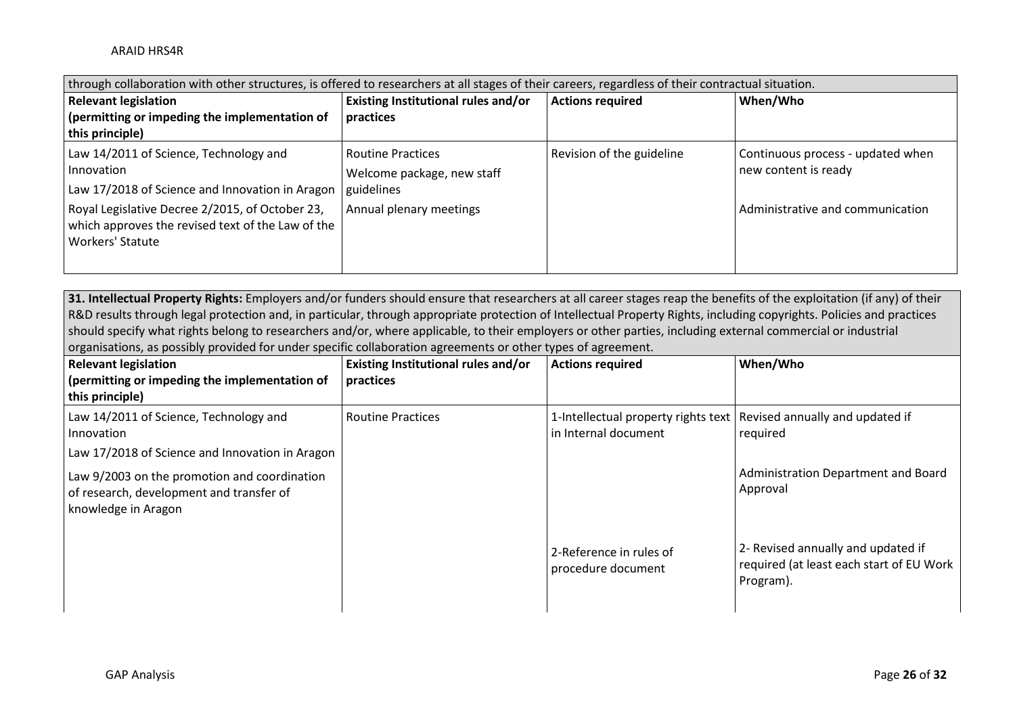| through collaboration with other structures, is offered to researchers at all stages of their careers, regardless of their contractual situation. |                                     |                           |                                   |  |
|---------------------------------------------------------------------------------------------------------------------------------------------------|-------------------------------------|---------------------------|-----------------------------------|--|
| <b>Relevant legislation</b>                                                                                                                       | Existing Institutional rules and/or | <b>Actions required</b>   | When/Who                          |  |
| (permitting or impeding the implementation of                                                                                                     | practices                           |                           |                                   |  |
| this principle)                                                                                                                                   |                                     |                           |                                   |  |
| Law 14/2011 of Science, Technology and                                                                                                            | <b>Routine Practices</b>            | Revision of the guideline | Continuous process - updated when |  |
| Innovation                                                                                                                                        | Welcome package, new staff          |                           | new content is ready              |  |
| Law 17/2018 of Science and Innovation in Aragon                                                                                                   | guidelines                          |                           |                                   |  |
| Royal Legislative Decree 2/2015, of October 23,<br>which approves the revised text of the Law of the<br>Workers' Statute                          | Annual plenary meetings             |                           | Administrative and communication  |  |
|                                                                                                                                                   |                                     |                           |                                   |  |

**31. Intellectual Property Rights:** Employers and/or funders should ensure that researchers at all career stages reap the benefits of the exploitation (if any) of their R&D results through legal protection and, in particular, through appropriate protection of Intellectual Property Rights, including copyrights. Policies and practices should specify what rights belong to researchers and/or, where applicable, to their employers or other parties, including external commercial or industrial organisations, as possibly provided for under specific collaboration agreements or other types of agreement.

| <b>Relevant legislation</b><br>(permitting or impeding the implementation of<br>this principle)                 | Existing Institutional rules and/or<br>practices | <b>Actions required</b>                                                                       | When/Who                                                                                    |
|-----------------------------------------------------------------------------------------------------------------|--------------------------------------------------|-----------------------------------------------------------------------------------------------|---------------------------------------------------------------------------------------------|
| Law 14/2011 of Science, Technology and<br>Innovation<br>Law 17/2018 of Science and Innovation in Aragon         | <b>Routine Practices</b>                         | 1-Intellectual property rights text   Revised annually and updated if<br>in Internal document | required                                                                                    |
| Law 9/2003 on the promotion and coordination<br>of research, development and transfer of<br>knowledge in Aragon |                                                  |                                                                                               | Administration Department and Board<br>Approval                                             |
|                                                                                                                 |                                                  | 2-Reference in rules of<br>procedure document                                                 | 2- Revised annually and updated if<br>required (at least each start of EU Work<br>Program). |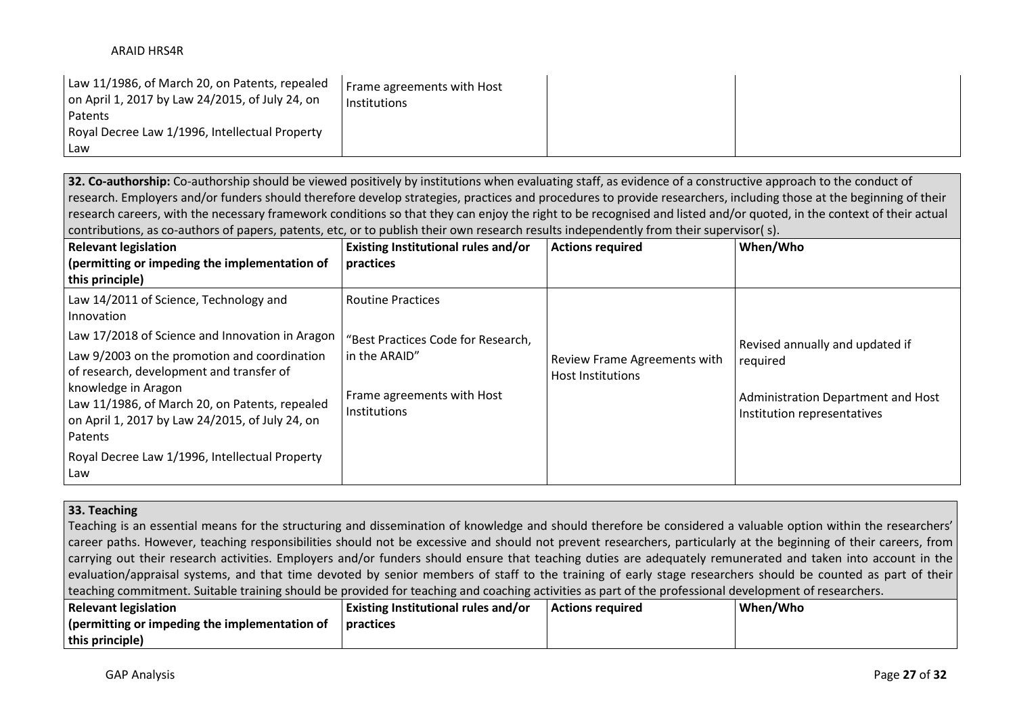| Law 11/1986, of March 20, on Patents, repealed<br>on April 1, 2017 by Law 24/2015, of July 24, on<br>Patents | Frame agreements with Host<br>Institutions |  |
|--------------------------------------------------------------------------------------------------------------|--------------------------------------------|--|
| Royal Decree Law 1/1996, Intellectual Property                                                               |                                            |  |
| Law                                                                                                          |                                            |  |

**32. Co-authorship:** Co-authorship should be viewed positively by institutions when evaluating staff, as evidence of a constructive approach to the conduct of research. Employers and/or funders should therefore develop strategies, practices and procedures to provide researchers, including those at the beginning of their research careers, with the necessary framework conditions so that they can enjoy the right to be recognised and listed and/or quoted, in the context of their actual contributions, as co-authors of papers, patents, etc, or to publish their own research results independently from their supervisor( s).

| <b>Relevant legislation</b><br>(permitting or impeding the implementation of<br>this principle)                                                                                                                                                                                                                                                                                                       | <b>Existing Institutional rules and/or</b><br>practices                                                                       | <b>Actions required</b>                                         | When/Who                                                                                                         |
|-------------------------------------------------------------------------------------------------------------------------------------------------------------------------------------------------------------------------------------------------------------------------------------------------------------------------------------------------------------------------------------------------------|-------------------------------------------------------------------------------------------------------------------------------|-----------------------------------------------------------------|------------------------------------------------------------------------------------------------------------------|
| Law 14/2011 of Science, Technology and<br>I Innovation<br>Law 17/2018 of Science and Innovation in Aragon<br>Law 9/2003 on the promotion and coordination<br>of research, development and transfer of<br>knowledge in Aragon<br>Law 11/1986, of March 20, on Patents, repealed<br>on April 1, 2017 by Law 24/2015, of July 24, on<br>Patents<br>Royal Decree Law 1/1996, Intellectual Property<br>Law | <b>Routine Practices</b><br>"Best Practices Code for Research,<br>in the ARAID"<br>Frame agreements with Host<br>Institutions | <b>Review Frame Agreements with</b><br><b>Host Institutions</b> | Revised annually and updated if<br>required<br>Administration Department and Host<br>Institution representatives |

## **33. Teaching**

Teaching is an essential means for the structuring and dissemination of knowledge and should therefore be considered a valuable option within the researchers' career paths. However, teaching responsibilities should not be excessive and should not prevent researchers, particularly at the beginning of their careers, from carrying out their research activities. Employers and/or funders should ensure that teaching duties are adequately remunerated and taken into account in the evaluation/appraisal systems, and that time devoted by senior members of staff to the training of early stage researchers should be counted as part of their teaching commitment. Suitable training should be provided for teaching and coaching activities as part of the professional development of researchers.

| <b>Relevant legislation</b>                   | Existing Institutional rules and/or | Actions reauired | When/Who |
|-----------------------------------------------|-------------------------------------|------------------|----------|
| (permitting or impeding the implementation of | <b>practices</b>                    |                  |          |
| this principle)                               |                                     |                  |          |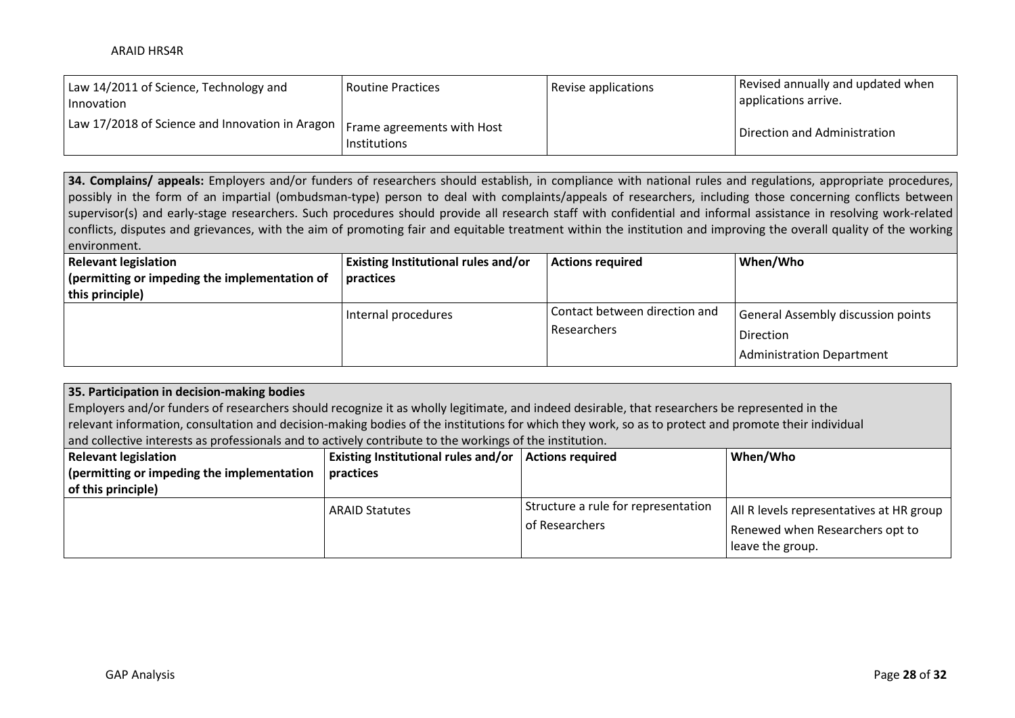| Law 14/2011 of Science, Technology and<br>I Innovation                       | <b>Routine Practices</b> | Revise applications | Revised annually and updated when<br>applications arrive. |
|------------------------------------------------------------------------------|--------------------------|---------------------|-----------------------------------------------------------|
| Law 17/2018 of Science and Innovation in Aragon   Frame agreements with Host | Institutions             |                     | Direction and Administration                              |

**34. Complains/ appeals:** Employers and/or funders of researchers should establish, in compliance with national rules and regulations, appropriate procedures, possibly in the form of an impartial (ombudsman-type) person to deal with complaints/appeals of researchers, including those concerning conflicts between supervisor(s) and early-stage researchers. Such procedures should provide all research staff with confidential and informal assistance in resolving work-related conflicts, disputes and grievances, with the aim of promoting fair and equitable treatment within the institution and improving the overall quality of the working environment.

| <b>Relevant legislation</b>                   | <b>Existing Institutional rules and/or</b> | <b>Actions required</b>       | When/Who                           |
|-----------------------------------------------|--------------------------------------------|-------------------------------|------------------------------------|
| (permitting or impeding the implementation of | practices                                  |                               |                                    |
| this principle)                               |                                            |                               |                                    |
|                                               | Internal procedures                        | Contact between direction and | General Assembly discussion points |
|                                               |                                            | Researchers                   | <b>Direction</b>                   |
|                                               |                                            |                               | <b>Administration Department</b>   |

# **35. Participation in decision-making bodies**

Employers and/or funders of researchers should recognize it as wholly legitimate, and indeed desirable, that researchers be represented in the relevant information, consultation and decision-making bodies of the institutions for which they work, so as to protect and promote their individual and collective interests as professionals and to actively contribute to the workings of the institution.

| <b>Relevant legislation</b><br>(permitting or impeding the implementation<br>of this principle) | <b>Existing Institutional rules and/or</b><br>practices | <b>Actions required</b>                               | When/Who                                                                                        |
|-------------------------------------------------------------------------------------------------|---------------------------------------------------------|-------------------------------------------------------|-------------------------------------------------------------------------------------------------|
|                                                                                                 | <b>ARAID Statutes</b>                                   | Structure a rule for representation<br>of Researchers | All R levels representatives at HR group<br>Renewed when Researchers opt to<br>leave the group. |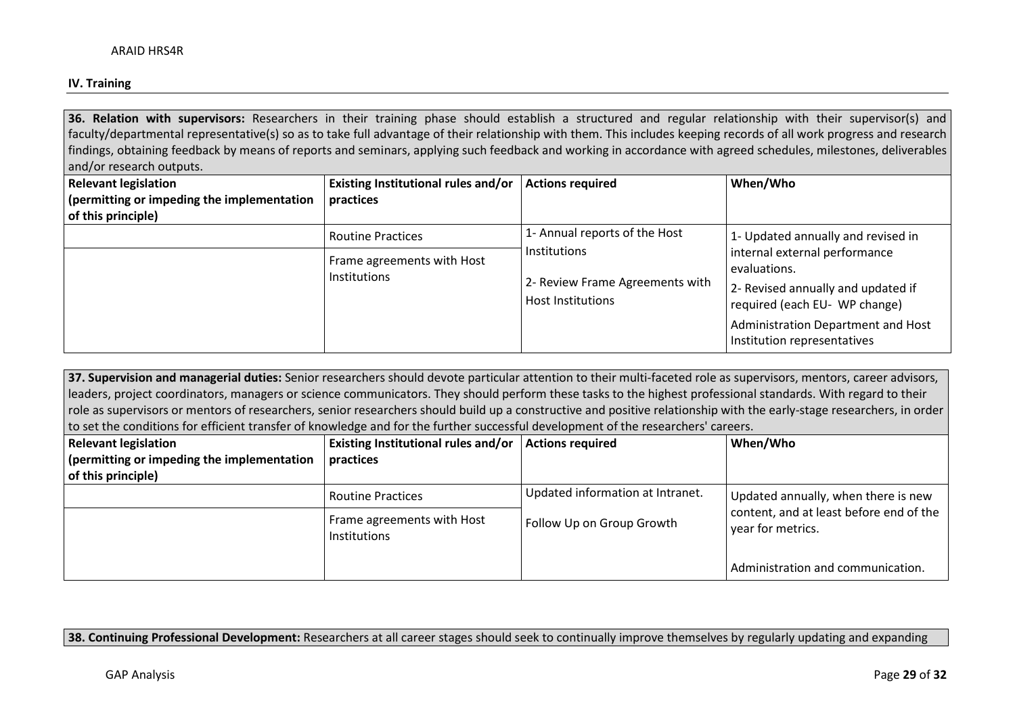### **IV. Training**

**36. Relation with supervisors:** Researchers in their training phase should establish a structured and regular relationship with their supervisor(s) and faculty/departmental representative(s) so as to take full advantage of their relationship with them. This includes keeping records of all work progress and research findings, obtaining feedback by means of reports and seminars, applying such feedback and working in accordance with agreed schedules, milestones, deliverables and/or research outputs.

| <b>Relevant legislation</b>                | Existing Institutional rules and/or               | <b>Actions required</b>                                                            | When/Who                                                                                                             |
|--------------------------------------------|---------------------------------------------------|------------------------------------------------------------------------------------|----------------------------------------------------------------------------------------------------------------------|
| (permitting or impeding the implementation | practices                                         |                                                                                    |                                                                                                                      |
| of this principle)                         | <b>Routine Practices</b>                          | 1- Annual reports of the Host                                                      | 1- Updated annually and revised in                                                                                   |
|                                            | Frame agreements with Host<br><b>Institutions</b> | <b>Institutions</b><br>2- Review Frame Agreements with<br><b>Host Institutions</b> | internal external performance<br>evaluations.<br>2- Revised annually and updated if<br>required (each EU- WP change) |
|                                            |                                                   |                                                                                    | Administration Department and Host<br>Institution representatives                                                    |

**37. Supervision and managerial duties:** Senior researchers should devote particular attention to their multi-faceted role as supervisors, mentors, career advisors, leaders, project coordinators, managers or science communicators. They should perform these tasks to the highest professional standards. With regard to their role as supervisors or mentors of researchers, senior researchers should build up a constructive and positive relationship with the early-stage researchers, in order to set the conditions for efficient transfer of knowledge and for the further successful development of the researchers' careers.

| <b>Relevant legislation</b>                | Existing Institutional rules and/or        | <b>Actions required</b>          | When/Who                                                     |
|--------------------------------------------|--------------------------------------------|----------------------------------|--------------------------------------------------------------|
| (permitting or impeding the implementation | practices                                  |                                  |                                                              |
| of this principle)                         |                                            |                                  |                                                              |
|                                            | <b>Routine Practices</b>                   | Updated information at Intranet. | Updated annually, when there is new                          |
|                                            | Frame agreements with Host<br>Institutions | Follow Up on Group Growth        | content, and at least before end of the<br>year for metrics. |
|                                            |                                            |                                  | Administration and communication.                            |

**38. Continuing Professional Development:** Researchers at all career stages should seek to continually improve themselves by regularly updating and expanding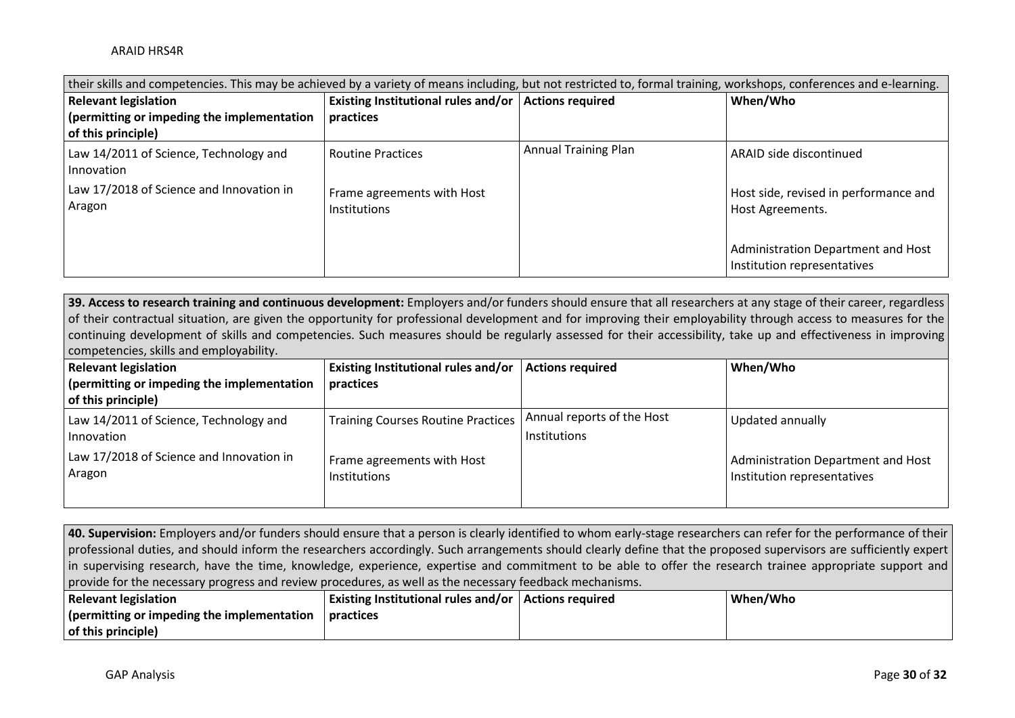| their skills and competencies. This may be achieved by a variety of means including, but not restricted to, formal training, workshops, conferences and e-learning. |                                                        |                             |                                                                   |  |
|---------------------------------------------------------------------------------------------------------------------------------------------------------------------|--------------------------------------------------------|-----------------------------|-------------------------------------------------------------------|--|
| <b>Relevant legislation</b>                                                                                                                                         | Existing Institutional rules and/or   Actions required |                             | When/Who                                                          |  |
| (permitting or impeding the implementation                                                                                                                          | practices                                              |                             |                                                                   |  |
| of this principle)                                                                                                                                                  |                                                        |                             |                                                                   |  |
| Law 14/2011 of Science, Technology and<br>Innovation                                                                                                                | <b>Routine Practices</b>                               | <b>Annual Training Plan</b> | ARAID side discontinued                                           |  |
| Law 17/2018 of Science and Innovation in<br>Aragon                                                                                                                  | Frame agreements with Host<br>Institutions             |                             | Host side, revised in performance and<br>Host Agreements.         |  |
|                                                                                                                                                                     |                                                        |                             | Administration Department and Host<br>Institution representatives |  |

**39. Access to research training and continuous development:** Employers and/or funders should ensure that all researchers at any stage of their career, regardless of their contractual situation, are given the opportunity for professional development and for improving their employability through access to measures for the continuing development of skills and competencies. Such measures should be regularly assessed for their accessibility, take up and effectiveness in improving competencies, skills and employability.

| <b>Relevant legislation</b>                          | <b>Existing Institutional rules and/or</b> | <b>Actions required</b>                           | When/Who                                                          |
|------------------------------------------------------|--------------------------------------------|---------------------------------------------------|-------------------------------------------------------------------|
| (permitting or impeding the implementation           | practices                                  |                                                   |                                                                   |
| of this principle)                                   |                                            |                                                   |                                                                   |
| Law 14/2011 of Science, Technology and<br>Innovation | <b>Training Courses Routine Practices</b>  | Annual reports of the Host<br><b>Institutions</b> | Updated annually                                                  |
| Law 17/2018 of Science and Innovation in<br>Aragon   | Frame agreements with Host<br>Institutions |                                                   | Administration Department and Host<br>Institution representatives |

**40. Supervision:** Employers and/or funders should ensure that a person is clearly identified to whom early-stage researchers can refer for the performance of their professional duties, and should inform the researchers accordingly. Such arrangements should clearly define that the proposed supervisors are sufficiently expert in supervising research, have the time, knowledge, experience, expertise and commitment to be able to offer the research trainee appropriate support and provide for the necessary progress and review procedures, as well as the necessary feedback mechanisms.

| <b>Relevant legislation</b>               | <b>Existing Institutional rules and/or   Actions required</b> | When/Who |
|-------------------------------------------|---------------------------------------------------------------|----------|
| permitting or impeding the implementation | practices                                                     |          |
| of this principle)                        |                                                               |          |